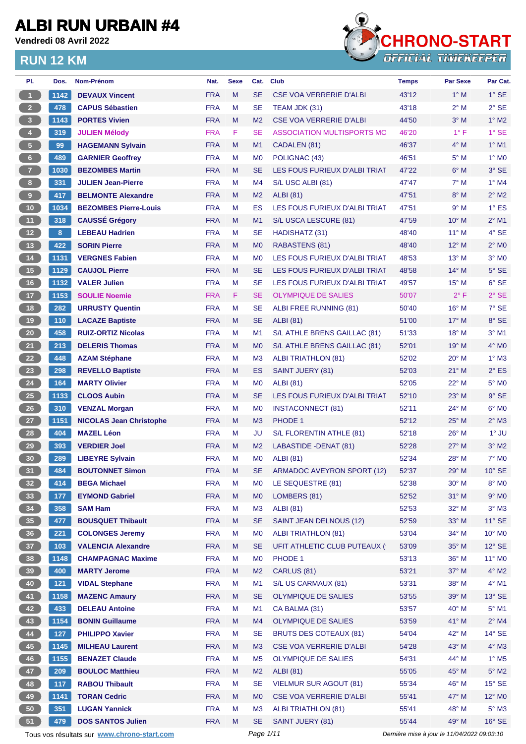**Vendredi 08 Avril 2022**



| PI.                     | Dos.          | Nom-Prénom                                  | Nat.       | <b>Sexe</b> | Cat.           | <b>Club</b>                       | <b>Temps</b>                                | <b>Par Sexe</b> | Par Cat.                 |
|-------------------------|---------------|---------------------------------------------|------------|-------------|----------------|-----------------------------------|---------------------------------------------|-----------------|--------------------------|
| $\blacktriangleleft$    | 1142          | <b>DEVAUX Vincent</b>                       | <b>FRA</b> | M           | <b>SE</b>      | <b>CSE VOA VERRERIE D'ALBI</b>    | 43'12                                       | $1^\circ$ M     | $1^\circ$ SE             |
| 2 <sup>7</sup>          | 478           | <b>CAPUS Sébastien</b>                      | <b>FRA</b> | M           | <b>SE</b>      | TEAM JDK (31)                     | 43'18                                       | $2^{\circ}$ M   | $2°$ SE                  |
| $\overline{\mathbf{3}}$ | 1143          | <b>PORTES Vivien</b>                        | <b>FRA</b> | M           | M <sub>2</sub> | <b>CSE VOA VERRERIE D'ALBI</b>    | 44'50                                       | $3^\circ$ M     | $1^\circ$ M2             |
| $\overline{4}$          | 319           | <b>JULIEN Mélody</b>                        | <b>FRA</b> | F           | <b>SE</b>      | ASSOCIATION MULTISPORTS MC        | 46'20                                       | $1^{\circ}$ F   | $1^\circ$ SE             |
| 5 <sub>1</sub>          | 99            | <b>HAGEMANN Sylvain</b>                     | <b>FRA</b> | M           | M1             | CADALEN (81)                      | 46'37                                       | $4^\circ$ M     | $1^\circ$ M1             |
| $\,$ 6 $\,$             | 489           | <b>GARNIER Geoffrey</b>                     | <b>FRA</b> | M           | M <sub>0</sub> | POLIGNAC (43)                     | 46'51                                       | $5^\circ$ M     | $1^\circ$ MO             |
| 7 <sup>2</sup>          | 1030          | <b>BEZOMBES Martin</b>                      | <b>FRA</b> | M           | <b>SE</b>      | LES FOUS FURIEUX D'ALBI TRIAT     | 47'22                                       | $6^\circ$ M     | 3° SE                    |
| 8                       | 331           | <b>JULIEN Jean-Pierre</b>                   | <b>FRA</b> | M           | M4             | S/L USC ALBI (81)                 | 47'47                                       | $7^\circ$ M     | $1^\circ$ M4             |
| $\mathbf 9$             | 417           | <b>BELMONTE Alexandre</b>                   | <b>FRA</b> | M           | M <sub>2</sub> | <b>ALBI</b> (81)                  | 47'51                                       | $8^\circ$ M     | $2^{\circ}$ M2           |
| $10$                    | 1034          | <b>BEZOMBES Pierre-Louis</b>                | <b>FRA</b> | M           | ES             | LES FOUS FURIEUX D'ALBI TRIAT     | 47'51                                       | 9° M            | $1^\circ$ ES             |
| 11                      | 318           | <b>CAUSSÉ Grégory</b>                       | <b>FRA</b> | M           | M1             | S/L USCA LESCURE (81)             | 47'59                                       | 10° M           | $2^{\circ}$ M1           |
| $12$                    | 8             | <b>LEBEAU Hadrien</b>                       | <b>FRA</b> | M           | <b>SE</b>      | HADISHATZ (31)                    | 48'40                                       | $11^{\circ}$ M  | 4° SE                    |
| 13                      | 422           | <b>SORIN Pierre</b>                         | <b>FRA</b> | M           | M <sub>0</sub> | RABASTENS (81)                    | 48'40                                       | $12^{\circ}$ M  | $2^{\circ}$ MO           |
| 14                      | 1131          | <b>VERGNES Fabien</b>                       | <b>FRA</b> | M           | M <sub>0</sub> | LES FOUS FURIEUX D'ALBI TRIAT     | 48'53                                       | $13^{\circ}$ M  | $3°$ MO                  |
| 15                      | 1129          | <b>CAUJOL Pierre</b>                        | <b>FRA</b> | M           | <b>SE</b>      | LES FOUS FURIEUX D'ALBI TRIAT     | 48'58                                       | $14^{\circ}$ M  | $5^\circ$ SE             |
| 16                      | 1132          | <b>VALER Julien</b>                         | <b>FRA</b> | M           | <b>SE</b>      | LES FOUS FURIEUX D'ALBI TRIAT     | 49'57                                       | $15^{\circ}$ M  | $6^{\circ}$ SE           |
| $17$                    | 1153          | <b>SOULIE Noemie</b>                        | <b>FRA</b> | F.          | <b>SE</b>      | <b>OLYMPIQUE DE SALIES</b>        | 50'07                                       | $2^{\circ}$ F   | $2°$ SE                  |
| 18                      | 282           | <b>URRUSTY Quentin</b>                      | <b>FRA</b> | M           | <b>SE</b>      | ALBI FREE RUNNING (81)            | 50'40                                       | $16^{\circ}$ M  | 7° SE                    |
| 19                      | 110           | <b>LACAZE Baptiste</b>                      | <b>FRA</b> | M           | <b>SE</b>      | <b>ALBI</b> (81)                  | 51'00                                       | $17^{\circ}$ M  | 8° SE                    |
| $20\,$                  | 458           | <b>RUIZ-ORTIZ Nicolas</b>                   | <b>FRA</b> | M           | M <sub>1</sub> | S/L ATHLE BRENS GAILLAC (81)      | 51'33                                       | 18° M           | $3°$ M1                  |
| 21                      | 213           | <b>DELERIS Thomas</b>                       | <b>FRA</b> | M           | M <sub>0</sub> | S/L ATHLE BRENS GAILLAC (81)      | 52'01                                       | $19^{\circ}$ M  | $4^\circ$ MO             |
| 22                      | 448           | <b>AZAM Stéphane</b>                        | <b>FRA</b> | M           | M <sub>3</sub> | <b>ALBI TRIATHLON (81)</b>        | 52'02                                       | $20^{\circ}$ M  | $1^\circ$ M3             |
| 23                      | 298           | <b>REVELLO Baptiste</b>                     | <b>FRA</b> | M           | <b>ES</b>      | <b>SAINT JUERY (81)</b>           | 52'03                                       | $21^{\circ}$ M  | $2^{\circ}$ ES           |
| 24                      | 164           | <b>MARTY Olivier</b>                        | <b>FRA</b> | M           | M <sub>0</sub> | <b>ALBI</b> (81)                  | 52'05                                       | 22° M           | 5° MO                    |
| <b>25</b>               | 1133          | <b>CLOOS Aubin</b>                          | <b>FRA</b> | M           | <b>SE</b>      | LES FOUS FURIEUX D'ALBI TRIAT     | 52'10                                       | $23^\circ$ M    | $9°$ SE                  |
| 26                      | 310           | <b>VENZAL Morgan</b>                        | <b>FRA</b> | M           | M <sub>0</sub> | <b>INSTACONNECT (81)</b>          | 52'11                                       | 24° M           | $6^\circ$ MO             |
| 27                      | 1151          | <b>NICOLAS Jean Christophe</b>              | <b>FRA</b> | M           | M <sub>3</sub> | PHODE 1                           | 52'12                                       | $25^{\circ}$ M  | $2^{\circ}$ M3           |
| 28                      | 404           | <b>MAZEL Léon</b>                           | <b>FRA</b> | M           | JU             | S/L FLORENTIN ATHLE (81)          | 52'18                                       | 26° M           | $1^\circ$ JU             |
| 29                      | 393           | <b>VERDIER Joel</b>                         | <b>FRA</b> | M           | M <sub>2</sub> | LABASTIDE - DENAT (81)            | 52'28                                       | $27^\circ$ M    | $3°$ M2                  |
| 30                      | 289           | <b>LIBEYRE Sylvain</b>                      | <b>FRA</b> | M           | M <sub>0</sub> | <b>ALBI</b> (81)                  | 52'34                                       | 28° M           | $7^\circ$ MO             |
| 31                      | 484           | <b>BOUTONNET Simon</b>                      | <b>FRA</b> | M           | SE             | <b>ARMADOC AVEYRON SPORT (12)</b> | 52'37                                       | 29° M           | $10^{\circ}$ SE          |
| 32 <sub>2</sub>         | 414           | <b>BEGA Michael</b>                         | <b>FRA</b> | M           | M <sub>0</sub> | LE SEQUESTRE (81)                 | 52'38                                       | $30^\circ$ M    | 8° MO                    |
| 33                      | 177           | <b>EYMOND Gabriel</b>                       | <b>FRA</b> | M           | M <sub>0</sub> | LOMBERS (81)                      | 52'52                                       | $31^\circ$ M    | $9^\circ$ MO             |
| 34                      | 358           | <b>SAM Ham</b>                              | <b>FRA</b> | M           | M <sub>3</sub> | <b>ALBI</b> (81)                  | 52'53                                       | $32^\circ$ M    | $3^\circ$ M3             |
| 35 <sub>o</sub>         | 477           | <b>BOUSQUET Thibault</b>                    | <b>FRA</b> | M           | <b>SE</b>      | SAINT JEAN DELNOUS (12)           | 52'59                                       | $33^\circ$ M    | $11^\circ$ SE            |
| 36 <sup>°</sup>         | 221           | <b>COLONGES Jeremy</b>                      | <b>FRA</b> | M           | M <sub>0</sub> | ALBI TRIATHLON (81)               | 53'04                                       | $34^\circ$ M    | 10° MO                   |
| 37 <sup>°</sup>         | 103           | <b>VALENCIA Alexandre</b>                   | <b>FRA</b> | M           | <b>SE</b>      | UFIT ATHLETIC CLUB PUTEAUX (      | 53'09                                       | 35° M           | $12^{\circ}$ SE          |
| 38                      | 1148          | <b>CHAMPAGNAC Maxime</b>                    | <b>FRA</b> | M           | M <sub>0</sub> | PHODE 1                           | 53'13                                       | 36° M           | $11^{\circ}$ MO          |
| 39                      | 400           | <b>MARTY Jerome</b>                         | <b>FRA</b> | M           | M <sub>2</sub> | CARLUS (81)                       | 53'21                                       | 37° M           | $4^\circ$ M2             |
| 40                      | $121$         | <b>VIDAL Stephane</b>                       | <b>FRA</b> | M           | M1             | S/L US CARMAUX (81)               | 53'31                                       | 38° M           | 4° M1                    |
| 41                      | 1158          | <b>MAZENC Amaury</b>                        | <b>FRA</b> | M           | <b>SE</b>      | <b>OLYMPIQUE DE SALIES</b>        | 53'55                                       | 39° M           | 13° SE                   |
| 42                      | 433           | <b>DELEAU Antoine</b>                       | <b>FRA</b> | M           | M1             | CA BALMA (31)                     | 53'57                                       | 40° M           | $5^\circ$ M1             |
| 43                      | 1154          | <b>BONIN Guillaume</b>                      | <b>FRA</b> | M           | M4             | <b>OLYMPIQUE DE SALIES</b>        | 53'59                                       | 41° M           | $2^{\circ}$ M4           |
| 44                      |               | <b>PHILIPPO Xavier</b>                      | <b>FRA</b> | M           | <b>SE</b>      | <b>BRUTS DES COTEAUX (81)</b>     | 54'04                                       | 42° M           | $14^{\circ}$ SE          |
| 45                      | $127$<br>1145 | <b>MILHEAU Laurent</b>                      | <b>FRA</b> | M           | M3             | <b>CSE VOA VERRERIE D'ALBI</b>    | 54'28                                       | 43° M           | 4° M3                    |
| 46                      | 1155          | <b>BENAZET Claude</b>                       | <b>FRA</b> | M           | M <sub>5</sub> | <b>OLYMPIQUE DE SALIES</b>        | 54'31                                       | 44° M           | $1^\circ$ M <sub>5</sub> |
|                         |               |                                             | <b>FRA</b> | M           |                | <b>ALBI</b> (81)                  |                                             | 45° M           | $5^\circ$ M2             |
| 47                      | 209           | <b>BOULOC Matthieu</b>                      |            |             | M <sub>2</sub> |                                   | 55'05                                       |                 |                          |
| 48                      | 117           | <b>RABOU Thibault</b>                       | <b>FRA</b> | M           | <b>SE</b>      | <b>VIELMUR SUR AGOUT (81)</b>     | 55'34                                       | 46° M           | $15^\circ$ SE            |
| 49                      | 1141          | <b>TORAN Cedric</b>                         | <b>FRA</b> | M           | M <sub>0</sub> | <b>CSE VOA VERRERIE D'ALBI</b>    | 55'41                                       | 47° M           | $12^{\circ}$ MO          |
| 50                      | 351           | <b>LUGAN Yannick</b>                        | <b>FRA</b> | M           | M <sub>3</sub> | <b>ALBI TRIATHLON (81)</b>        | 55'41                                       | 48° M           | $5^\circ$ M3             |
| 51                      | 479           | <b>DOS SANTOS Julien</b>                    | <b>FRA</b> | M           | <b>SE</b>      | SAINT JUERY (81)                  | 55'44                                       | 49° M           | $16^\circ$ SE            |
|                         |               | Tous vos résultats sur www.chrono-start.com |            |             | Page 1/11      |                                   | Dernière mise à jour le 11/04/2022 09:03:10 |                 |                          |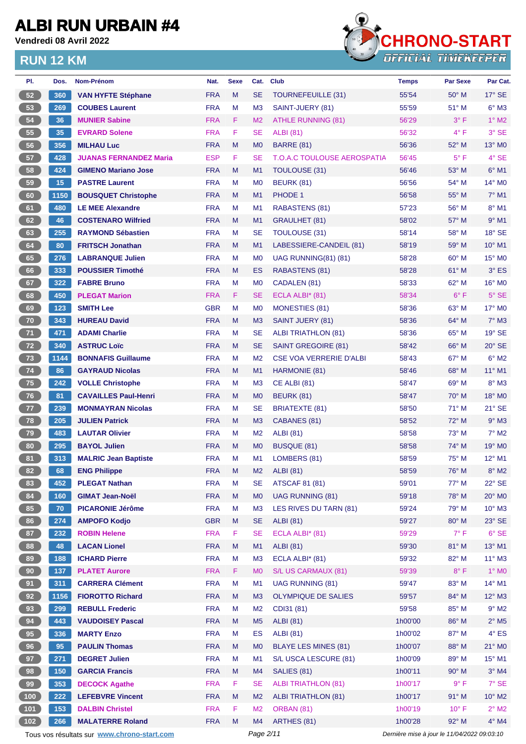**Vendredi 08 Avril 2022**



| PI.    | Dos. | Nom-Prénom                                   | Nat.                     | <b>Sexe</b> | Cat.                 | <b>Club</b>                                          | <b>Temps</b>                                | Par Sexe       | Par Cat.                   |
|--------|------|----------------------------------------------|--------------------------|-------------|----------------------|------------------------------------------------------|---------------------------------------------|----------------|----------------------------|
| 52     | 360  | <b>VAN HYFTE Stéphane</b>                    | <b>FRA</b>               | M           | SE                   | TOURNEFEUILLE (31)                                   | 55'54                                       | $50^\circ$ M   | $17^\circ$ SE              |
| 53     | 269  | <b>COUBES Laurent</b>                        | <b>FRA</b>               | М           | M <sub>3</sub>       | SAINT-JUERY (81)                                     | 55'59                                       | $51^\circ$ M   | $6^\circ$ M3               |
| 54     | 36   | <b>MUNIER Sabine</b>                         | <b>FRA</b>               | F.          | M <sub>2</sub>       | <b>ATHLE RUNNING (81)</b>                            | 56'29                                       | $3^{\circ}$ F  | $1^\circ$ M2               |
| 55     | 35   | <b>EVRARD Solene</b>                         | <b>FRA</b>               | F           | <b>SE</b>            | ALBI (81)                                            | 56'32                                       | $4^{\circ}$ F  | 3° SE                      |
| 56     | 356  | <b>MILHAU Luc</b>                            | <b>FRA</b>               | M           | M <sub>0</sub>       | <b>BARRE (81)</b>                                    | 56'36                                       | 52° M          | 13° MO                     |
| $57\,$ | 428  | <b>JUANAS FERNANDEZ Maria</b>                | <b>ESP</b>               | F.          | <b>SE</b>            | <b>T.O.A.C TOULOUSE AEROSPATIA</b>                   | 56'45                                       | $5^{\circ}$ F  | $4°$ SE                    |
| 58     | 424  | <b>GIMENO Mariano Jose</b>                   | <b>FRA</b>               | M           | M1                   | TOULOUSE (31)                                        | 56'46                                       | 53° M          | $6^\circ$ M1               |
| 59     | 15   | <b>PASTRE Laurent</b>                        | <b>FRA</b>               | М           | M <sub>0</sub>       | <b>BEURK (81)</b>                                    | 56'56                                       | 54° M          | $14^{\circ}$ MO            |
| 60     | 1150 | <b>BOUSQUET Christophe</b>                   | <b>FRA</b>               | M           | M1                   | PHODE 1                                              | 56'58                                       | $55^{\circ}$ M | $7°$ M1                    |
| 61     | 480  | <b>LE MEE Alexandre</b>                      | <b>FRA</b>               | М           | M <sub>1</sub>       | RABASTENS (81)                                       | 57'23                                       | $56^{\circ}$ M | $8^\circ$ M1               |
| 62     | 46   | <b>COSTENARO Wilfried</b>                    | <b>FRA</b>               | M           | M1                   | <b>GRAULHET (81)</b>                                 | 58'02                                       | 57° M          | $9°$ M1                    |
| 63     | 255  | <b>RAYMOND Sébastien</b>                     | <b>FRA</b>               | М           | <b>SE</b>            | <b>TOULOUSE (31)</b>                                 | 58'14                                       | 58° M          | 18° SE                     |
| 64     | 80   | <b>FRITSCH Jonathan</b>                      | <b>FRA</b>               | M           | M1                   | LABESSIERE-CANDEIL (81)                              | 58'19                                       | 59° M          | $10^{\circ}$ M1            |
| 65     | 276  | <b>LABRANQUE Julien</b>                      | <b>FRA</b>               | М           | M <sub>0</sub>       | UAG RUNNING(81) (81)                                 | 58'28                                       | 60° M          | 15° MO                     |
| 66     | 333  | <b>POUSSIER Timothé</b>                      | <b>FRA</b>               | M           | <b>ES</b>            | RABASTENS (81)                                       | 58'28                                       | $61^\circ$ M   | $3^\circ$ ES               |
| 67     | 322  | <b>FABRE Bruno</b>                           | <b>FRA</b>               | M           | M <sub>0</sub>       | CADALEN (81)                                         | 58'33                                       | 62° M          | 16° MO                     |
| 68     | 450  | <b>PLEGAT Marion</b>                         | <b>FRA</b>               | F.          | SE                   | ECLA ALBI* (81)                                      | 58'34                                       | $6^{\circ}$ F  | $5^{\circ}$ SE             |
| 69     | 123  | <b>SMITH Lee</b>                             | <b>GBR</b>               | М           | M <sub>0</sub>       | <b>MONESTIES (81)</b>                                | 58'36                                       | 63° M          | 17° M0                     |
| 70     | 343  | <b>HUREAU David</b>                          | <b>FRA</b>               | M           | M <sub>3</sub>       | <b>SAINT JUERY (81)</b>                              | 58'36                                       | $64^{\circ}$ M | $7^\circ$ M3               |
| 71     | 471  | <b>ADAMI Charlie</b>                         | <b>FRA</b>               | м           | SE                   | <b>ALBI TRIATHLON (81)</b>                           | 58'36                                       | 65° M          | $19°$ SE                   |
| 72     | 340  | <b>ASTRUC Loïc</b>                           | <b>FRA</b>               | M           | <b>SE</b>            | <b>SAINT GREGOIRE (81)</b>                           | 58'42                                       | $66^{\circ}$ M | $20^\circ$ SE              |
| 73     | 1144 | <b>BONNAFIS Guillaume</b>                    | <b>FRA</b>               | М           | M <sub>2</sub>       | <b>CSE VOA VERRERIE D'ALBI</b>                       | 58'43                                       | 67° M          | $6^{\circ}$ M2             |
| 74     | 86   | <b>GAYRAUD Nicolas</b>                       | <b>FRA</b>               | M           | M1                   | HARMONIE (81)                                        | 58'46                                       | $68^\circ$ M   | $11^{\circ}$ M1            |
| 75     | 242  | <b>VOLLE Christophe</b>                      | <b>FRA</b>               | м           | M <sub>3</sub>       | <b>CE ALBI (81)</b>                                  | 58'47                                       | 69° M          | $8^\circ$ M3               |
| 76     | 81   | <b>CAVAILLES Paul-Henri</b>                  | <b>FRA</b>               | M           | M <sub>0</sub>       | <b>BEURK (81)</b>                                    | 58'47                                       | 70° M          | 18° MO                     |
| 77     | 239  | <b>MONMAYRAN Nicolas</b>                     | <b>FRA</b>               | М           | SE                   | BRIATEXTE (81)                                       | 58'50                                       | 71° M          | $21^\circ$ SE              |
| 78     | 205  | <b>JULIEN Patrick</b>                        | <b>FRA</b>               | M           | M <sub>3</sub>       | CABANES (81)                                         | 58'52                                       | 72° M          | $9°$ M3                    |
| 79     | 483  | <b>LAUTAR Olivier</b>                        | <b>FRA</b>               | М           | M <sub>2</sub>       | <b>ALBI</b> (81)                                     | 58'58                                       | 73° M          | $7^\circ$ M2               |
| 80     | 295  | <b>BAYOL Julien</b>                          | <b>FRA</b>               | M           | M <sub>0</sub>       | <b>BUSQUE (81)</b>                                   | 58'58                                       | 74° M          | 19° MO                     |
| 81     | 313  | <b>MALRIC Jean Baptiste</b>                  | <b>FRA</b>               | М           | M <sub>1</sub>       | LOMBERS (81)                                         | 58'59                                       | $75^{\circ}$ M | $12^{\circ}$ M1            |
| 82     | 68   | <b>ENG Philippe</b>                          | <b>FRA</b>               | M           | M <sub>2</sub>       | ALBI (81)                                            | 58'59                                       | 76° M          | $8^\circ$ M2               |
| 83     | 452  | <b>PLEGAT Nathan</b>                         | <b>FRA</b>               | M           | SE                   | <b>ATSCAF 81 (81)</b>                                | 59'01                                       | 77° M          | 22° SE                     |
| 84     | 160  | <b>GIMAT Jean-Noël</b>                       | <b>FRA</b>               | M           | M <sub>0</sub>       | <b>UAG RUNNING (81)</b>                              | 59'18                                       | 78° M          | 20° M <sub>0</sub>         |
| 85     | 70   | <b>PICARONIE Jérôme</b>                      | <b>FRA</b>               | M           | M <sub>3</sub>       | LES RIVES DU TARN (81)                               | 59'24                                       | 79° M          | $10^{\circ}$ M3            |
| 86     | 274  | <b>AMPOFO Kodjo</b>                          | <b>GBR</b>               | M           | <b>SE</b>            | <b>ALBI</b> (81)                                     | 59'27                                       | 80° M          | $23^\circ$ SE              |
| 87     | 232  | <b>ROBIN Helene</b>                          | <b>FRA</b>               | F.          | <b>SE</b>            | ECLA ALBI* (81)                                      | 59'29                                       | $7^\circ$ F    | $6°$ SE                    |
| 88     | 48   | <b>LACAN Lionel</b>                          | <b>FRA</b>               | M           | M1                   | <b>ALBI</b> (81)                                     | 59'30                                       | 81° M          | 13° M1                     |
| 89     | 188  | <b>ICHARD Pierre</b>                         | <b>FRA</b>               | M           | M <sub>3</sub>       | ECLA ALBI* (81)                                      | 59'32                                       | 82° M          | $11^{\circ}$ M3            |
| 90     | 137  | <b>PLATET Aurore</b>                         | <b>FRA</b>               | F           | M <sub>0</sub>       | S/L US CARMAUX (81)                                  | 59'39                                       | $8^{\circ}$ F  | $1^\circ$ MO               |
| 91     | 311  | <b>CARRERA Clément</b>                       | <b>FRA</b>               | M           | M1                   | <b>UAG RUNNING (81)</b>                              | 59'47                                       | 83° M          | 14° M1                     |
| 92     | 1156 | <b>FIOROTTO Richard</b>                      | <b>FRA</b>               | M           | M <sub>3</sub>       | <b>OLYMPIQUE DE SALIES</b>                           | 59'57                                       | 84° M          | $12^{\circ}$ M3            |
| 93     | 299  | <b>REBULL Frederic</b>                       | <b>FRA</b>               | M           | M <sub>2</sub>       | CDI31 (81)                                           | 59'58                                       | 85° M          | $9°$ M2                    |
| 94     | 443  | <b>VAUDOISEY Pascal</b>                      | <b>FRA</b>               | M           | M <sub>5</sub>       | <b>ALBI</b> (81)                                     | 1h00'00                                     | 86° M          | $2^{\circ}$ M <sub>5</sub> |
| 95     | 336  | <b>MARTY Enzo</b>                            | <b>FRA</b>               | M           | <b>ES</b>            | <b>ALBI</b> (81)                                     | 1h00'02                                     | 87° M          | $4^\circ$ ES               |
|        |      |                                              |                          |             |                      |                                                      |                                             |                |                            |
| 96     | 95   | <b>PAULIN Thomas</b><br><b>DEGRET Julien</b> | <b>FRA</b><br><b>FRA</b> | M<br>М      | M <sub>0</sub><br>M1 | <b>BLAYE LES MINES (81)</b><br>S/L USCA LESCURE (81) | 1h00'07<br>1h00'09                          | 88° M<br>89° M | 21° MO                     |
| 97     | 271  |                                              |                          |             |                      |                                                      |                                             |                | $15^{\circ}$ M1            |
| 98     | 150  | <b>GARCIA Francis</b>                        | <b>FRA</b>               | M           | M4                   | SALIES (81)                                          | 1h00'11                                     | 90° M          | $3°$ M4                    |
| 99     | 353  | <b>DECOCK Agathe</b>                         | <b>FRA</b>               | F.          | <b>SE</b>            | <b>ALBI TRIATHLON (81)</b>                           | 1h00'17                                     | $9^{\circ}$ F  | 7° SE                      |
| 100    | 222  | <b>LEFEBVRE Vincent</b>                      | <b>FRA</b>               | M           | M <sub>2</sub>       | <b>ALBI TRIATHLON (81)</b>                           | 1h00'17                                     | $91^\circ$ M   | $10^{\circ}$ M2            |
| $101$  | 153  | <b>DALBIN Christel</b>                       | <b>FRA</b>               | F.          | M <sub>2</sub>       | ORBAN (81)                                           | 1h00'19                                     | $10^{\circ}$ F | $2^{\circ}$ M2             |
| $102$  | 266  | <b>MALATERRE Roland</b>                      | <b>FRA</b>               | M           | M4                   | ARTHES (81)                                          | 1h00'28                                     | 92° M          | $4^\circ$ M4               |
|        |      | Tous vos résultats sur www.chrono-start.com  |                          |             | Page 2/11            |                                                      | Dernière mise à jour le 11/04/2022 09:03:10 |                |                            |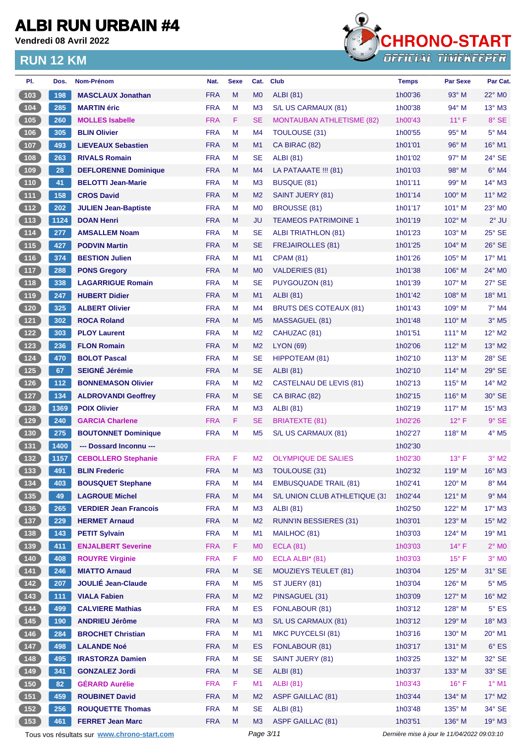**Vendredi 08 Avril 2022**



| PI.                                                         | Dos. | Nom-Prénom                                  | Nat.       | <b>Sexe</b> | Cat.           | <b>Club</b>                      | <b>Temps</b>                                | <b>Par Sexe</b> | Par Cat.                 |
|-------------------------------------------------------------|------|---------------------------------------------|------------|-------------|----------------|----------------------------------|---------------------------------------------|-----------------|--------------------------|
| 103                                                         | 198  | <b>MASCLAUX Jonathan</b>                    | <b>FRA</b> | M           | M <sub>0</sub> | <b>ALBI</b> (81)                 | 1h00'36                                     | $93^\circ$ M    | $22^\circ$ MO            |
| 104                                                         | 285  | <b>MARTIN</b> éric                          | <b>FRA</b> | M           | M <sub>3</sub> | S/L US CARMAUX (81)              | 1h00'38                                     | 94° M           | $13^{\circ}$ M3          |
| $\begin{array}{c} \hline 105 \\ \hline \end{array}$         | 260  | <b>MOLLES Isabelle</b>                      | <b>FRA</b> | F           | <b>SE</b>      | <b>MONTAUBAN ATHLETISME (82)</b> | 1h00'43                                     | $11^{\circ}$ F  | 8° SE                    |
| 106                                                         | 305  | <b>BLIN Olivier</b>                         | <b>FRA</b> | м           | M4             | TOULOUSE (31)                    | 1h00'55                                     | 95° M           | 5° M4                    |
| 107                                                         | 493  | <b>LIEVEAUX Sebastien</b>                   | <b>FRA</b> | M           | M1             | CA BIRAC (82)                    | 1h01'01                                     | $96^\circ$ M    | 16° M1                   |
| $\boxed{108}$                                               | 263  | <b>RIVALS Romain</b>                        | <b>FRA</b> | м           | <b>SE</b>      | <b>ALBI</b> (81)                 | 1h01'02                                     | $97^\circ$ M    | $24^\circ$ SE            |
| (109)                                                       | 28   | <b>DEFLORENNE Dominique</b>                 | <b>FRA</b> | M           | M4             | LA PATAAATE !!! (81)             | 1h01'03                                     | 98° M           | $6°$ M4                  |
| $\begin{array}{c} \n 110\n \end{array}$                     | 41   | <b>BELOTTI Jean-Marie</b>                   | <b>FRA</b> | м           | M <sub>3</sub> | BUSQUE (81)                      | 1h01'11                                     | 99° M           | $14^{\circ}$ M3          |
| (111)                                                       | 158  | <b>CROS David</b>                           | <b>FRA</b> | M           | M <sub>2</sub> | SAINT JUERY (81)                 | 1h01'14                                     | $100^\circ$ M   | $11^{\circ}$ M2          |
| (112)                                                       | 202  | <b>JULIEN Jean-Baptiste</b>                 | <b>FRA</b> | М           | M <sub>0</sub> | <b>BROUSSE (81)</b>              | 1h01'17                                     | $101^\circ$ M   | 23° M0                   |
| (113)                                                       | 1124 | <b>DOAN Henri</b>                           | <b>FRA</b> | M           | <b>JU</b>      | <b>TEAMEOS PATRIMOINE 1</b>      | 1h01'19                                     | 102° M          | $2°$ JU                  |
| $\boxed{114}$                                               | 277  | <b>AMSALLEM Noam</b>                        | <b>FRA</b> | M           | <b>SE</b>      | ALBI TRIATHLON (81)              | 1h01'23                                     | $103^\circ$ M   | $25^\circ$ SE            |
| (115)                                                       | 427  | <b>PODVIN Martin</b>                        | <b>FRA</b> | M           | <b>SE</b>      | <b>FREJAIROLLES (81)</b>         | 1h01'25                                     | $104^\circ$ M   | $26^\circ$ SE            |
| (116)                                                       | 374  | <b>BESTION Julien</b>                       | <b>FRA</b> | M           | M1             | <b>CPAM (81)</b>                 | 1h01'26                                     | $105^\circ$ M   | 17° M1                   |
| $\boxed{117}$                                               | 288  | <b>PONS Gregory</b>                         | <b>FRA</b> | M           | M <sub>0</sub> | VALDERIES (81)                   | 1h01'38                                     | $106^\circ$ M   | $24^{\circ}$ MO          |
| $\boxed{118}$                                               | 338  | <b>LAGARRIGUE Romain</b>                    | <b>FRA</b> | M           | <b>SE</b>      | PUYGOUZON (81)                   | 1h01'39                                     | $107^\circ$ M   | 27° SE                   |
| (119                                                        | 247  | <b>HUBERT Didier</b>                        | <b>FRA</b> | M           | M1             | <b>ALBI</b> (81)                 | 1h01'42                                     | $108^\circ$ M   | 18° M1                   |
| 120                                                         | 325  | <b>ALBERT Olivier</b>                       | <b>FRA</b> | М           | M4             | <b>BRUTS DES COTEAUX (81)</b>    | 1h01'43                                     | $109^\circ$ M   | 7° M4                    |
| 121                                                         | 302  | <b>ROCA Roland</b>                          | <b>FRA</b> | M           | M <sub>5</sub> | MASSAGUEL (81)                   | 1h01'48                                     | $110^\circ$ M   | $3°$ M <sub>5</sub>      |
| $122$                                                       | 303  | <b>PLOY Laurent</b>                         | <b>FRA</b> | м           | M <sub>2</sub> | CAHUZAC (81)                     | 1h01'51                                     | $111^\circ$ M   | $12^{\circ}$ M2          |
| $123$                                                       | 236  | <b>FLON Romain</b>                          | <b>FRA</b> | M           | M <sub>2</sub> | <b>LYON (69)</b>                 | 1h02'06                                     | 112° M          | $13^\circ$ M2            |
| $124$                                                       | 470  | <b>BOLOT Pascal</b>                         | <b>FRA</b> | M           | <b>SE</b>      | HIPPOTEAM (81)                   | 1h02'10                                     | $113^\circ$ M   | 28° SE                   |
| 125                                                         | 67   | <b>SEIGNÉ Jérémie</b>                       | <b>FRA</b> | M           | <b>SE</b>      | <b>ALBI</b> (81)                 | 1h02'10                                     | $114^\circ$ M   | 29° SE                   |
| $126$                                                       | 112  | <b>BONNEMASON Olivier</b>                   | <b>FRA</b> | M           | M <sub>2</sub> | <b>CASTELNAU DE LEVIS (81)</b>   | 1h02'13                                     | $115^\circ$ M   | $14^{\circ}$ M2          |
| (127)                                                       | 134  | <b>ALDROVANDI Geoffrey</b>                  | <b>FRA</b> | M           | <b>SE</b>      | CA BIRAC (82)                    | 1h02'15                                     | $116^\circ$ M   | 30° SE                   |
| 128                                                         | 1369 | <b>POIX Olivier</b>                         | <b>FRA</b> | м           |                | <b>ALBI</b> (81)                 | 1h02'19                                     | $117^\circ$ M   | $15^{\circ}$ M3          |
| 129                                                         | 240  |                                             | <b>FRA</b> |             | M <sub>3</sub> |                                  |                                             | $12^{\circ}$ F  | $9°$ SE                  |
|                                                             |      | <b>GARCIA Charlene</b>                      |            | F           | <b>SE</b>      | <b>BRIATEXTE (81)</b>            | 1h02'26                                     |                 |                          |
| $\boxed{130}$                                               | 275  | <b>BOUTONNET Dominique</b>                  | <b>FRA</b> | м           | M <sub>5</sub> | S/L US CARMAUX (81)              | 1h02'27                                     | $118^\circ$ M   | $4^\circ$ M <sub>5</sub> |
| (131)                                                       | 1400 | --- Dossard Inconnu ---                     |            |             |                |                                  | 1h02'30                                     |                 |                          |
| $132$                                                       | 1157 | <b>CEBOLLERO Stephanie</b>                  | <b>FRA</b> | F           | M <sub>2</sub> | <b>OLYMPIQUE DE SALIES</b>       | 1h02'30                                     | $13^{\circ}$ F  | $3°$ M2                  |
| (133)                                                       | 491  | <b>BLIN Frederic</b>                        | <b>FRA</b> | M           | M <sub>3</sub> | <b>TOULOUSE (31)</b>             | 1h02'32                                     | $119^\circ$ M   | $16^\circ$ M3            |
| $\begin{array}{c} 134 \\ 134 \end{array}$                   | 403  | <b>BOUSQUET Stephane</b>                    | <b>FRA</b> | M           | M4             | <b>EMBUSQUADE TRAIL (81)</b>     | 1h02'41                                     | 120° M          | $8^\circ$ M4             |
| (135)                                                       | 49   | <b>LAGROUE Michel</b>                       | <b>FRA</b> | M           | M4             | S/L UNION CLUB ATHLETIQUE (31    | 1h02'44                                     | 121° M          | $9°$ M4                  |
| $136$                                                       | 265  | <b>VERDIER Jean Francois</b>                | <b>FRA</b> | M           | M <sub>3</sub> | <b>ALBI</b> (81)                 | 1h02'50                                     | 122° M          | $17^\circ$ M3            |
| (137)                                                       | 229  | <b>HERMET Arnaud</b>                        | <b>FRA</b> | M           | M <sub>2</sub> | <b>RUNN'IN BESSIERES (31)</b>    | 1h03'01                                     | 123° M          | $15^{\circ}$ M2          |
| $\begin{array}{ c c c }\n\hline\n\textbf{138}\n\end{array}$ | 143  | <b>PETIT Sylvain</b>                        | <b>FRA</b> | M           | M1             | MAILHOC (81)                     | 1h03'03                                     | 124° M          | 19° M1                   |
| (139)                                                       | 411  | <b>ENJALBERT Severine</b>                   | <b>FRA</b> | F           | M <sub>0</sub> | <b>ECLA (81)</b>                 | 1h03'03                                     | $14^{\circ}$ F  | $2^\circ$ MO             |
| $140$                                                       | 408  | <b>ROUYRE Virginie</b>                      | <b>FRA</b> | F           | M <sub>0</sub> | ECLA ALBI* (81)                  | 1h03'03                                     | $15^{\circ}$ F  | $3°$ MO                  |
| (141)                                                       | 246  | <b>MIATTO Arnaud</b>                        | <b>FRA</b> | M           | <b>SE</b>      | <b>MOUZIEYS TEULET (81)</b>      | 1h03'04                                     | 125° M          | 31° SE                   |
|                                                             | 207  | <b>JOULIÉ Jean-Claude</b>                   | <b>FRA</b> | M           | M <sub>5</sub> | ST JUERY (81)                    | 1h03'04                                     | 126° M          | $5^\circ$ M5             |
| (143)                                                       | 111  | <b>VIALA Fabien</b>                         | <b>FRA</b> | M           | M <sub>2</sub> | PINSAGUEL (31)                   | 1h03'09                                     | 127° M          | $16^{\circ}$ M2          |
| $144$                                                       | 499  | <b>CALVIERE Mathias</b>                     | <b>FRA</b> | M           | ES             | FONLABOUR (81)                   | 1h03'12                                     | 128° M          | $5^{\circ}$ ES           |
| $145$                                                       | 190  | <b>ANDRIEU Jérôme</b>                       | <b>FRA</b> | M           | M <sub>3</sub> | S/L US CARMAUX (81)              | 1h03'12                                     | 129° M          | $18^\circ$ M3            |
| 146                                                         | 284  | <b>BROCHET Christian</b>                    | <b>FRA</b> | M           | M1             | MKC PUYCELSI (81)                | 1h03'16                                     | 130° M          | 20° M1                   |
| (147)                                                       | 498  | <b>LALANDE Noé</b>                          | <b>FRA</b> | M           | ES             | FONLABOUR (81)                   | 1h03'17                                     | 131° M          | $6^{\circ}$ ES           |
| $148$                                                       | 495  | <b>IRASTORZA Damien</b>                     | <b>FRA</b> | M           | <b>SE</b>      | SAINT JUERY (81)                 | 1h03'25                                     | 132° M          | $32^\circ$ SE            |
| 149                                                         | 341  | <b>GONZALEZ Jordi</b>                       | <b>FRA</b> | M           | <b>SE</b>      | <b>ALBI</b> (81)                 | 1h03'37                                     | 133° M          | 33° SE                   |
| $150$                                                       | 82   | <b>GÉRARD Aurélie</b>                       | <b>FRA</b> | F           | M1             | <b>ALBI</b> (81)                 | 1h03'43                                     | $16^{\circ}$ F  | $1^\circ$ M1             |
| (151)                                                       | 459  | <b>ROUBINET David</b>                       | <b>FRA</b> | M           | M <sub>2</sub> | <b>ASPF GAILLAC (81)</b>         | 1h03'44                                     | 134° M          | 17° M2                   |
| $152$                                                       | 256  | <b>ROUQUETTE Thomas</b>                     | <b>FRA</b> | M           | <b>SE</b>      | <b>ALBI</b> (81)                 | 1h03'48                                     | 135° M          | $34^\circ$ SE            |
| (153)                                                       | 461  | <b>FERRET Jean Marc</b>                     | <b>FRA</b> | M           | M <sub>3</sub> | <b>ASPF GAILLAC (81)</b>         | 1h03'51                                     | 136° M          | $19°$ M3                 |
|                                                             |      | Tous vos résultats sur www.chrono-start.com |            |             | Page 3/11      |                                  | Dernière mise à jour le 11/04/2022 09:03:10 |                 |                          |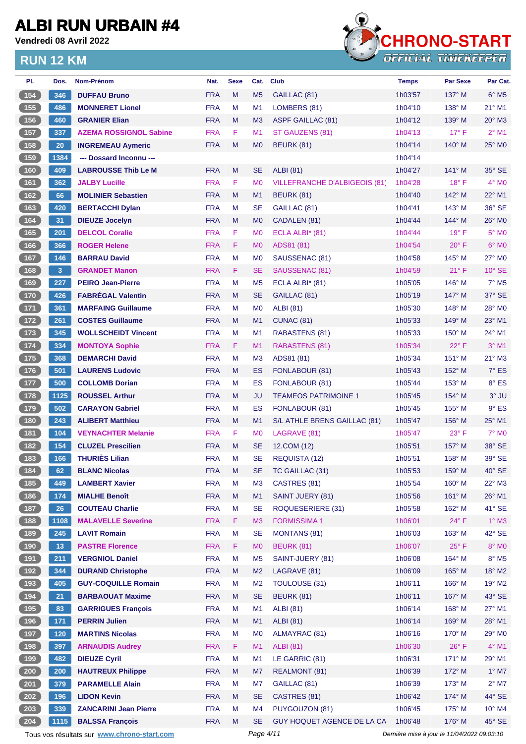**Vendredi 08 Avril 2022**



| PI.                  | Dos.            | <b>Nom-Prénom</b>                           | Nat.       | <b>Sexe</b> | Cat.           | <b>Club</b>                          | <b>Temps</b>                                | <b>Par Sexe</b> | Par Cat.                   |
|----------------------|-----------------|---------------------------------------------|------------|-------------|----------------|--------------------------------------|---------------------------------------------|-----------------|----------------------------|
| 154                  | 346             | <b>DUFFAU Bruno</b>                         | <b>FRA</b> | M           | M <sub>5</sub> | GAILLAC (81)                         | 1h03'57                                     | $137^\circ$ M   | $6^{\circ}$ M <sub>5</sub> |
| (155)                | 486             | <b>MONNERET Lionel</b>                      | <b>FRA</b> | M           | M1             | LOMBERS (81)                         | 1h04'10                                     | 138° M          | 21° M1                     |
| (156)                | 460             | <b>GRANIER Elian</b>                        | <b>FRA</b> | M           | M <sub>3</sub> | <b>ASPF GAILLAC (81)</b>             | 1h04'12                                     | $139^\circ$ M   | $20^\circ$ M3              |
| (157)                | 337             | <b>AZEMA ROSSIGNOL Sabine</b>               | <b>FRA</b> | F           | M1             | ST GAUZENS (81)                      | 1h04'13                                     | $17^\circ$ F    | $2^{\circ}$ M1             |
| 158                  | 20              | <b>INGREMEAU Aymeric</b>                    | <b>FRA</b> | M           | M <sub>0</sub> | BEURK (81)                           | 1h04'14                                     | $140^\circ$ M   | 25° MO                     |
| $159$                | 1384            | --- Dossard Inconnu ---                     |            |             |                |                                      | 1h04'14                                     |                 |                            |
| (160)                | 409             | <b>LABROUSSE Thib Le M</b>                  | <b>FRA</b> | M           | <b>SE</b>      | <b>ALBI</b> (81)                     | 1h04'27                                     | $141^\circ$ M   | $35^\circ$ SE              |
| (161)                | 362             | <b>JALBY Lucille</b>                        | <b>FRA</b> | F           | M <sub>0</sub> | <b>VILLEFRANCHE D'ALBIGEOIS (81)</b> | 1h04'28                                     | $18^{\circ}$ F  | $4^\circ$ MO               |
| (162)                | 66              | <b>MOLINIER Sebastien</b>                   | <b>FRA</b> | M           | M <sub>1</sub> | BEURK (81)                           | 1h04'40                                     | 142° M          | $22^{\circ}$ M1            |
| (163)                | 420             | <b>BERTACCHI Dylan</b>                      | <b>FRA</b> | м           | <b>SE</b>      | GAILLAC (81)                         | 1h04'41                                     | $143^\circ$ M   | 36° SE                     |
| (164)                | 31              | <b>DIEUZE Jocelyn</b>                       | <b>FRA</b> | M           | M <sub>0</sub> | CADALEN (81)                         | 1h04'44                                     | 144° M          | 26° MO                     |
| $165$                | 201             | <b>DELCOL Coralie</b>                       | <b>FRA</b> | F           | M <sub>0</sub> | ECLA ALBI* (81)                      | 1h04'44                                     | $19^{\circ}$ F  | $5^\circ$ MO               |
| (166)                | 366             | <b>ROGER Helene</b>                         | <b>FRA</b> | F.          | M <sub>0</sub> | ADS81 (81)                           | 1h04'54                                     | $20^{\circ}$ F  | $6^{\circ}$ MO             |
| (167)                | 146             | <b>BARRAU David</b>                         | <b>FRA</b> | M           | M <sub>0</sub> | SAUSSENAC (81)                       | 1h04'58                                     | $145^\circ$ M   | $27^\circ$ MO              |
| (168)                | $\mathbf{3}$    | <b>GRANDET Manon</b>                        | <b>FRA</b> | F           | <b>SE</b>      | SAUSSENAC (81)                       | 1h04'59                                     | 21° F           | $10^{\circ}$ SE            |
| 169                  | 227             | <b>PEIRO Jean-Pierre</b>                    | <b>FRA</b> | M           | M <sub>5</sub> | ECLA ALBI $*$ (81)                   | 1h05'05                                     | 146° M          | $7^\circ$ M <sub>5</sub>   |
| (170)                | 426             | <b>FABRÉGAL Valentin</b>                    | <b>FRA</b> | M           | <b>SE</b>      | GAILLAC (81)                         | 1h05'19                                     | $147^\circ$ M   | 37° SE                     |
| $\boxed{171}$        | 361             | <b>MARFAING Guillaume</b>                   | <b>FRA</b> | м           | M <sub>0</sub> | <b>ALBI</b> (81)                     | 1h05'30                                     | $148^\circ$ M   | 28° M0                     |
| (172)                | 261             | <b>COSTES Guillaume</b>                     | <b>FRA</b> | M           | M1             | <b>CUNAC (81)</b>                    | 1h05'33                                     | 149° M          | 23° M1                     |
| (173)                | 345             | <b>WOLLSCHEIDT Vincent</b>                  | <b>FRA</b> | м           | M1             | RABASTENS (81)                       | 1h05'33                                     | $150^\circ$ M   | 24° M1                     |
| (174)                | 334             | <b>MONTOYA Sophie</b>                       | <b>FRA</b> | F.          | M1             | <b>RABASTENS (81)</b>                | 1h05'34                                     | $22^{\circ}$ F  | $3°$ M1                    |
| (175)                | 368             | <b>DEMARCHI David</b>                       | <b>FRA</b> | M           | M <sub>3</sub> | ADS81 (81)                           | 1h05'34                                     | 151° M          | $21^{\circ}$ M3            |
| $(176)$              | 501             | <b>LAURENS Ludovic</b>                      | <b>FRA</b> | M           | ES             | FONLABOUR (81)                       | 1h05'43                                     | $152^\circ$ M   | $7^\circ$ ES               |
| 177                  | 500             | <b>COLLOMB Dorian</b>                       | <b>FRA</b> | M           | ES             | FONLABOUR (81)                       | 1h05'44                                     | 153° M          | 8° ES                      |
| (178)                | 1125            | <b>ROUSSEL Arthur</b>                       | <b>FRA</b> | M           | <b>JU</b>      | <b>TEAMEOS PATRIMOINE 1</b>          | 1h05'45                                     | $154^\circ$ M   | $3°$ JU                    |
| (179)                | 502             | <b>CARAYON Gabriel</b>                      | <b>FRA</b> | M           | ES             | FONLABOUR (81)                       | 1h05'45                                     | $155^{\circ}$ M | $9°$ ES                    |
| (180)                | 243             | <b>ALIBERT Matthieu</b>                     | <b>FRA</b> | M           | M1             | S/L ATHLE BRENS GAILLAC (81)         | 1h05'47                                     | $156^\circ$ M   | 25° M1                     |
| (181)                | 104             | <b>VEYNACHTER Melanie</b>                   | <b>FRA</b> | F.          | M <sub>0</sub> | LAGRAVE (81)                         | 1h05'47                                     | $23^{\circ}$ F  | $7^\circ$ MO               |
| (182)                | 154             | <b>CLUZEL Prescilien</b>                    | <b>FRA</b> | M           | <b>SE</b>      | 12.COM (12)                          | 1h05'51                                     | $157^\circ$ M   | 38° SE                     |
| $183$                | 166             | <b>THURIÈS Lilian</b>                       | <b>FRA</b> | м           | <b>SE</b>      | REQUISTA (12)                        | 1h05'51                                     | $158^\circ$ M   | 39° SE                     |
| 184                  | 62              | <b>BLANC Nicolas</b>                        | <b>FRA</b> | M           | <b>SE</b>      | TC GAILLAC (31)                      | 1h05'53                                     | 159° M          | $40^\circ$ SE              |
| 185                  | 449             | <b>LAMBERT Xavier</b>                       | <b>FRA</b> | M           | M <sub>3</sub> | CASTRES (81)                         | 1h05'54                                     | 160° M          | $22^{\circ}$ M3            |
| (186)                | 174             | <b>MIALHE Benoît</b>                        | <b>FRA</b> | M           | M1             | <b>SAINT JUERY (81)</b>              | 1h05'56                                     | 161° M          | 26° M1                     |
| 187                  | 26              | <b>COUTEAU Charlie</b>                      | <b>FRA</b> | M           | <b>SE</b>      | ROQUESERIERE (31)                    | 1h05'58                                     | 162° M          | $41^\circ$ SE              |
| (188)                | 1108            | <b>MALAVELLE Severine</b>                   | <b>FRA</b> | F           | M <sub>3</sub> | <b>FORMISSIMA1</b>                   | 1h06'01                                     | $24^{\circ}$ F  | $1^\circ$ M3               |
| $6489$               | 245             | <b>LAVIT Romain</b>                         | <b>FRA</b> | M           | <b>SE</b>      | <b>MONTANS (81)</b>                  | 1h06'03                                     | 163° M          | $42^\circ$ SE              |
| (190)                | 13 <sup>°</sup> | <b>PASTRE Florence</b>                      | <b>FRA</b> | F           | M <sub>0</sub> | <b>BEURK (81)</b>                    | 1h06'07                                     | $25^{\circ}$ F  | 8° MO                      |
| 191                  | 211             | <b>VERGNIOL Daniel</b>                      | <b>FRA</b> | M           | M <sub>5</sub> | SAINT-JUERY (81)                     | 1h06'08                                     | 164° M          | $8^\circ$ M5               |
| (192)                | 344             | <b>DURAND Christophe</b>                    | <b>FRA</b> | M           | M <sub>2</sub> | LAGRAVE (81)                         | 1h06'09                                     | 165° M          | $18^{\circ}$ M2            |
| (193)                | 405             | <b>GUY-COQUILLE Romain</b>                  | <b>FRA</b> | M           | M <sub>2</sub> | <b>TOULOUSE (31)</b>                 | 1h06'11                                     | 166° M          | 19° M2                     |
| (194)                | 21              | <b>BARBAOUAT Maxime</b>                     | <b>FRA</b> | M           | <b>SE</b>      | <b>BEURK (81)</b>                    | 1h06'11                                     | 167° M          | 43° SE                     |
| $195$                | 83              | <b>GARRIGUES François</b>                   | <b>FRA</b> | M           | M1             | <b>ALBI</b> (81)                     | 1h06'14                                     | 168° M          | 27° M1                     |
| (196)                | 171             | <b>PERRIN Julien</b>                        | <b>FRA</b> | M           | M1             | <b>ALBI</b> (81)                     | 1h06'14                                     | 169° M          | 28° M1                     |
| 197                  | $120$           | <b>MARTINS Nicolas</b>                      | <b>FRA</b> | M           | M <sub>0</sub> | ALMAYRAC (81)                        | 1h06'16                                     | 170° M          | 29° M0                     |
| 198                  | 397             | <b>ARNAUDIS Audrey</b>                      | <b>FRA</b> | F           | M1             | <b>ALBI</b> (81)                     | 1h06'30                                     | $26^{\circ}$ F  | $4^\circ$ M1               |
| 199                  | 482             | <b>DIEUZE Cyril</b>                         | <b>FRA</b> | M           | M1             | LE GARRIC (81)                       | 1h06'31                                     | 171° M          | 29° M1                     |
| $\left( 200 \right)$ | 200             | <b>HAUTREUX Philippe</b>                    | <b>FRA</b> | M           | M7             | <b>REALMONT (81)</b>                 | 1h06'39                                     | 172° M          | $1^\circ$ M7               |
| 201                  | 379             | <b>PARAMELLE Alain</b>                      | <b>FRA</b> | M           | M7             | GAILLAC (81)                         | 1h06'39                                     | 173° M          | $2^{\circ}$ M7             |
| 202                  | 196             | <b>LIDON Kevin</b>                          | <b>FRA</b> | M           | <b>SE</b>      | CASTRES (81)                         | 1h06'42                                     | $174^\circ$ M   | 44° SE                     |
| 203                  | 339             | <b>ZANCARINI Jean Pierre</b>                | <b>FRA</b> | M           | M4             | PUYGOUZON (81)                       | 1h06'45                                     | 175° M          | 10° M4                     |
| 204                  | 1115            | <b>BALSSA François</b>                      | <b>FRA</b> | M           | <b>SE</b>      | GUY HOQUET AGENCE DE LA CA           | 1h06'48                                     | 176° M          | 45° SE                     |
|                      |                 | Tous vos résultats sur www.chrono-start.com |            |             | Page 4/11      |                                      | Dernière mise à jour le 11/04/2022 09:03:10 |                 |                            |
|                      |                 |                                             |            |             |                |                                      |                                             |                 |                            |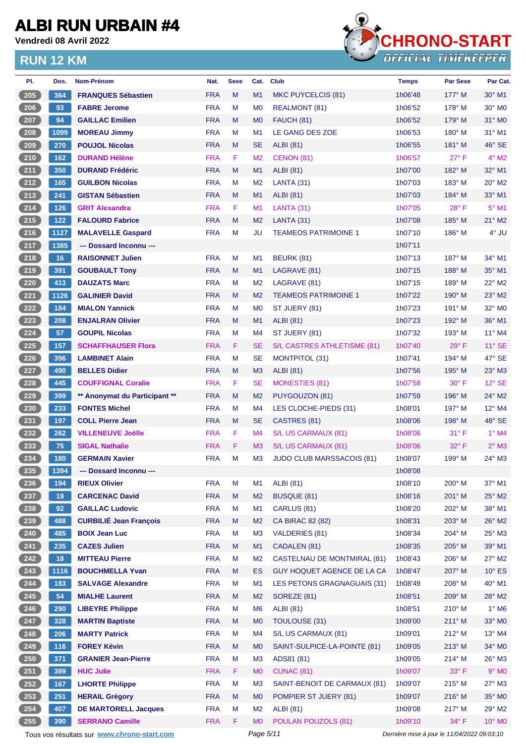**Vendredi 08 Avril 2022**



| PI.                | Dos.  | <b>Nom-Prénom</b>                           | Nat.       | <b>Sexe</b> | Cat.           | <b>Club</b>                        | <b>Temps</b>                                | <b>Par Sexe</b> | Par Cat.           |
|--------------------|-------|---------------------------------------------|------------|-------------|----------------|------------------------------------|---------------------------------------------|-----------------|--------------------|
| 205                | 364   | <b>FRANQUES Sébastien</b>                   | <b>FRA</b> | M           | M1             | MKC PUYCELCIS (81)                 | 1h06'48                                     | $177^\circ$ M   | $30^\circ$ M1      |
| $206$              | 93    | <b>FABRE Jerome</b>                         | <b>FRA</b> | M           | M <sub>0</sub> | REALMONT (81)                      | 1h06'52                                     | $178^\circ$ M   | 30° MO             |
| 207                | 94    | <b>GAILLAC Emilien</b>                      | <b>FRA</b> | M           | M <sub>0</sub> | FAUCH (81)                         | 1h06'52                                     | $179^\circ$ M   | $31^\circ$ MO      |
| $208$              | 1099  | <b>MOREAU Jimmy</b>                         | <b>FRA</b> | M           | M1             | LE GANG DES ZOE                    | 1h06'53                                     | $180^\circ$ M   | 31° M1             |
| 209                | 270   | <b>POUJOL Nicolas</b>                       | <b>FRA</b> | M           | <b>SE</b>      | <b>ALBI</b> (81)                   | 1h06'55                                     | $181^\circ$ M   | 46° SE             |
| $210$              | 162   | <b>DURAND Hélène</b>                        | <b>FRA</b> | F           | M <sub>2</sub> | CENON (81)                         | 1h06'57                                     | $27^{\circ}$ F  | $4^{\circ}$ M2     |
| 211                | 350   | <b>DURAND Frédéric</b>                      | <b>FRA</b> | M           | M <sub>1</sub> | ALBI (81)                          | 1h07'00                                     | 182° M          | 32° M1             |
| $212$              | 165   | <b>GUILBON Nicolas</b>                      | <b>FRA</b> | M           | M <sub>2</sub> | LANTA (31)                         | 1h07'03                                     | 183° M          | $20^\circ$ M2      |
| 213                | 241   | <b>GISTAN Sébastien</b>                     | <b>FRA</b> | M           | M <sub>1</sub> | <b>ALBI</b> (81)                   | 1h07'03                                     | 184° M          | 33° M1             |
| 214                | 126   | <b>GRIT Alexandra</b>                       | <b>FRA</b> | F           | M <sub>1</sub> | LANTA (31)                         | 1h07'05                                     | $28^{\circ}$ F  | $5^{\circ}$ M1     |
| $215$              | $122$ | <b>FALOURD Fabrice</b>                      | <b>FRA</b> | M           | M <sub>2</sub> | LANTA (31)                         | 1h07'08                                     | 185° M          | $21^{\circ}$ M2    |
| $216$              | 1127  | <b>MALAVELLE Gaspard</b>                    | <b>FRA</b> | M           | JU             | <b>TEAMEOS PATRIMOINE 1</b>        | 1h07'10                                     | $186^\circ$ M   | $4^\circ$ JU       |
| 217                | 1385  | --- Dossard Inconnu ---                     |            |             |                |                                    | 1h07'11                                     |                 |                    |
| $218$              | 16    | <b>RAISONNET Julien</b>                     | <b>FRA</b> | M           | M1             | <b>BEURK (81)</b>                  | 1h07'13                                     | 187° M          | 34° M1             |
| 219                | 391   | <b>GOUBAULT Tony</b>                        | <b>FRA</b> | M           | M1             | LAGRAVE (81)                       | 1h07'15                                     | 188° M          | 35° M1             |
| 220                | 413   | <b>DAUZATS Marc</b>                         | <b>FRA</b> | M           | M <sub>2</sub> | LAGRAVE (81)                       | 1h07'15                                     | 189° M          | 22° M2             |
| 221                | 1126  | <b>GALINIER David</b>                       | <b>FRA</b> | M           | M <sub>2</sub> | <b>TEAMEOS PATRIMOINE 1</b>        | 1h07'22                                     | $190^\circ$ M   | 23° M2             |
| 222                | 184   | <b>MIALON Yannick</b>                       | <b>FRA</b> | М           | M <sub>0</sub> | ST JUERY (81)                      | 1h07'23                                     | $191^\circ$ M   | 32° M <sub>0</sub> |
| 223                | 208   | <b>ENJALRAN Olivier</b>                     | <b>FRA</b> | M           | M1             | <b>ALBI</b> (81)                   | 1h07'23                                     | 192° M          | 36° M1             |
| $224$              | 57    | <b>GOUPIL Nicolas</b>                       | <b>FRA</b> | M           | M4             | ST JUERY (81)                      | 1h07'32                                     | 193° M          | $11^{\circ}$ M4    |
| 225                | 157   | <b>SCHAFFHAUSER Flora</b>                   | <b>FRA</b> | F           | <b>SE</b>      | S/L CASTRES ATHLETISME (81)        | 1h07'40                                     | $29^\circ$ F    | 11° SE             |
| $226$              | 396   | <b>LAMBINET Alain</b>                       | <b>FRA</b> | M           | <b>SE</b>      | MONTPITOL (31)                     | 1h07'41                                     | 194° M          | 47° SE             |
| 227                | 490   | <b>BELLES Didier</b>                        | <b>FRA</b> | M           | M <sub>3</sub> | ALBI (81)                          | 1h07'56                                     | 195° M          | $23^\circ$ M3      |
| $228$              | 445   | <b>COUFFIGNAL Coralie</b>                   | <b>FRA</b> | F           | <b>SE</b>      | <b>MONESTIES (81)</b>              | 1h07'58                                     | $30^\circ$ F    | $12^{\circ}$ SE    |
| 229                | 399   | ** Anonymat du Participant **               | <b>FRA</b> | M           | M <sub>2</sub> | PUYGOUZON (81)                     | 1h07'59                                     | $196^\circ$ M   | $24^{\circ}$ M2    |
| 230                | 233   | <b>FONTES Michel</b>                        | <b>FRA</b> | M           | M4             | LES CLOCHE-PIEDS (31)              | 1h08'01                                     | 197° M          | 12° M4             |
| 231                | 197   | <b>COLL Pierre Jean</b>                     | <b>FRA</b> | M           | <b>SE</b>      | CASTRES (81)                       | 1h08'06                                     | 198° M          | 48° SE             |
| $232$              | 262   | <b>VILLENEUVE Joëlle</b>                    | <b>FRA</b> | F           | M <sub>4</sub> | S/L US CARMAUX (81)                | 1h08'06                                     | $31^{\circ}$ F  | $1°$ M4            |
| $\frac{233}{ }$    | 75    | <b>SIGAL Nathalie</b>                       | <b>FRA</b> | F           | M <sub>3</sub> | S/L US CARMAUX (81)                | 1h08'06                                     | 32° F           | $2^{\circ}$ M3     |
| 234                | 180   | <b>GERMAIN Xavier</b>                       | <b>FRA</b> | M           | M <sub>3</sub> | <b>JUDO CLUB MARSSACOIS (81)</b>   | 1h08'07                                     | 199° M          | 24° M3             |
| 235                | 1394  | --- Dossard Inconnu ---                     |            |             |                |                                    | 1h08'08                                     |                 |                    |
| 236                | 194   | <b>RIEUX Olivier</b>                        | <b>FRA</b> | M           | M1             | <b>ALBI</b> (81)                   | 1h08'10                                     | $200^\circ$ M   | 37° M1             |
| 237                | 19    | <b>CARCENAC David</b>                       | <b>FRA</b> | M           | M <sub>2</sub> | <b>BUSQUE (81)</b>                 | 1h08'16                                     | 201° M          | 25° M2             |
| 238                | 92    | <b>GAILLAC Ludovic</b>                      | <b>FRA</b> | M           | M <sub>1</sub> | CARLUS (81)                        | 1h08'20                                     | 202° M          | 38° M1             |
| $239$              | 488   | <b>CURBILIÉ Jean François</b>               | <b>FRA</b> | M           | M <sub>2</sub> | CA BIRAC 82 (82)                   | 1h08'31                                     | 203° M          | 26° M2             |
| $240$              | 485   | <b>BOIX Jean Luc</b>                        | <b>FRA</b> | M           | M <sub>3</sub> | <b>VALDERIES (81)</b>              | 1h08'34                                     | $204^\circ$ M   | 25° M3             |
| 241                | 235   | <b>CAZES Julien</b>                         | <b>FRA</b> | M           | M1             | CADALEN (81)                       | 1h08'35                                     | 205° M          | 39° M1             |
| $242$              | 18    | <b>MITTEAU Pierre</b>                       | <b>FRA</b> | M           | M <sub>2</sub> | <b>CASTELNAU DE MONTMIRAL (81)</b> | 1h08'43                                     | 206° M          | 27° M2             |
| 243                | 1116  | <b>BOUCHMELLA Yvan</b>                      | <b>FRA</b> | M           | ES             | GUY HOQUET AGENCE DE LA CA         | 1h08'47                                     | 207° M          | $10^{\circ}$ ES    |
| $244$              | 183   | <b>SALVAGE Alexandre</b>                    | <b>FRA</b> | M           | M1             | LES PETONS GRAGNAGUAIS (31)        | 1h08'49                                     | 208° M          | 40° M1             |
| $245$              | 54    | <b>MIALHE Laurent</b>                       | <b>FRA</b> | M           | M <sub>2</sub> | SOREZE (81)                        | 1h08'51                                     | 209° M          | 28° M2             |
| $246$              | 290   | <b>LIBEYRE Philippe</b>                     | <b>FRA</b> | M           | M <sub>6</sub> | <b>ALBI</b> (81)                   | 1h08'51                                     | $210^\circ$ M   | $1^\circ$ M6       |
| 247                | 328   | <b>MARTIN Baptiste</b>                      | <b>FRA</b> | M           | M <sub>0</sub> | <b>TOULOUSE (31)</b>               | 1h09'00                                     | $211^\circ$ M   | 33° MO             |
| $248$              | 206   | <b>MARTY Patrick</b>                        | <b>FRA</b> | M           | M4             | S/L US CARMAUX (81)                | 1h09'01                                     | 212° M          | 13° M4             |
| $249$              | 116   | <b>FOREY Kévin</b>                          | <b>FRA</b> | M           | M <sub>0</sub> | SAINT-SULPICE-LA-POINTE (81)       | 1h09'05                                     | $213^\circ$ M   | 34° MO             |
| $250$              | 371   | <b>GRANIER Jean-Pierre</b>                  | <b>FRA</b> | М           | M <sub>3</sub> | ADS81 (81)                         | 1h09'05                                     | 214° M          | 26° M3             |
| 251                | 389   | <b>HUC Julie</b>                            | <b>FRA</b> | F           | M <sub>0</sub> | <b>CUNAC (81)</b>                  | 1h09'07                                     | $33^\circ$ F    | $9°$ MO            |
| $252$              | 167   | <b>LHORTE Philippe</b>                      | <b>FRA</b> | M           | M <sub>3</sub> | SAINT-BENOIT DE CARMAUX (81)       | 1h09'07                                     | 215° M          | 27° M3             |
| 253                | 251   | <b>HERAIL Grégory</b>                       | <b>FRA</b> | M           | M <sub>0</sub> | POMPIER ST JUERY (81)              | 1h09'07                                     | 216° M          | 35° MO             |
| $254$              | 407   | <b>DE MARTORELL Jacques</b>                 | <b>FRA</b> | M           | M <sub>2</sub> | <b>ALBI</b> (81)                   | 1h09'08                                     | 217° M          | 29° M2             |
| $\left(255\right)$ | 390   | <b>SERRANO Camille</b>                      | <b>FRA</b> | F           | M <sub>0</sub> | POULAN POUZOLS (81)                | 1h09'10                                     | 34° F           | 10° MO             |
|                    |       |                                             |            |             | Page 5/11      |                                    | Dernière mise à jour le 11/04/2022 09:03:10 |                 |                    |
|                    |       | Tous vos résultats sur www.chrono-start.com |            |             |                |                                    |                                             |                 |                    |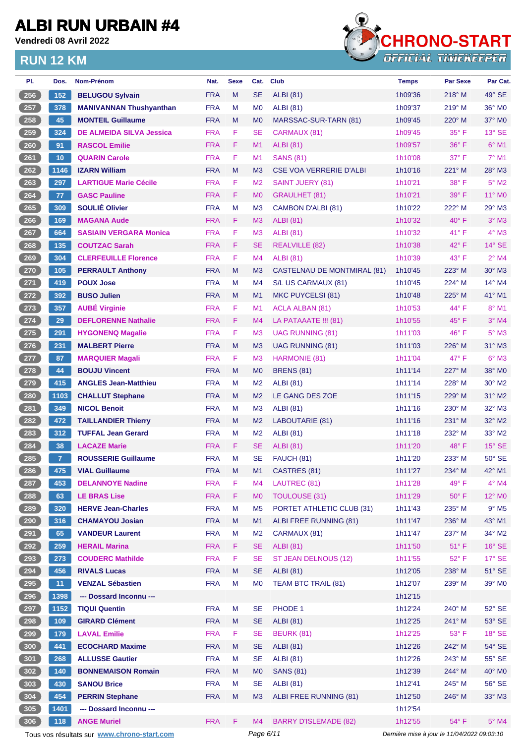**Vendredi 08 Avril 2022**



| PI.             | Dos.            | Nom-Prénom                                  | Nat.       | <b>Sexe</b> | Cat.           | <b>Club</b>                    | <b>Temps</b>                                | <b>Par Sexe</b> | Par Cat.           |
|-----------------|-----------------|---------------------------------------------|------------|-------------|----------------|--------------------------------|---------------------------------------------|-----------------|--------------------|
| 256             | 152             | <b>BELUGOU Sylvain</b>                      | <b>FRA</b> | M           | <b>SE</b>      | <b>ALBI</b> (81)               | 1h09'36                                     | 218° M          | $49^\circ$ SE      |
| 257             | 378             | <b>MANIVANNAN Thushyanthan</b>              | <b>FRA</b> | M           | M <sub>0</sub> | <b>ALBI</b> (81)               | 1h09'37                                     | $219°$ M        | $36^\circ$ MO      |
| 258             | 45              | <b>MONTEIL Guillaume</b>                    | <b>FRA</b> | M           | M <sub>0</sub> | MARSSAC-SUR-TARN (81)          | 1h09'45                                     | 220° M          | $37^\circ$ MO      |
| 259             | 324             | <b>DE ALMEIDA SILVA Jessica</b>             | <b>FRA</b> | F           | <b>SE</b>      | CARMAUX (81)                   | 1h09'45                                     | $35^{\circ}$ F  | 13° SE             |
| 260             | 91              | <b>RASCOL Emilie</b>                        | <b>FRA</b> | F.          | M1             | <b>ALBI</b> (81)               | 1h09'57                                     | $36^{\circ}$ F  | $6°$ M1            |
| 261             | 10              | <b>QUARIN Carole</b>                        | <b>FRA</b> | F           | M <sub>1</sub> | <b>SANS (81)</b>               | 1h10'08                                     | $37^\circ$ F    | $7°$ M1            |
| $262$           | 1146            | <b>IZARN William</b>                        | <b>FRA</b> | M           | M <sub>3</sub> | <b>CSE VOA VERRERIE D'ALBI</b> | 1h10'16                                     | 221° M          | 28° M3             |
| 263             | 297             | <b>LARTIGUE Marie Cécile</b>                | <b>FRA</b> | F           | M <sub>2</sub> | <b>SAINT JUERY (81)</b>        | 1h10'21                                     | $38^\circ$ F    | $5^\circ$ M2       |
| 264             | 77              | <b>GASC Pauline</b>                         | <b>FRA</b> | F           | M <sub>0</sub> | <b>GRAULHET (81)</b>           | 1h10'21                                     | $39^\circ$ F    | 11° MO             |
| $265$           | 309             | <b>SOULIÉ Olivier</b>                       | <b>FRA</b> | M           | M <sub>3</sub> | CAMBON D'ALBI (81)             | 1h10'22                                     | 222° M          | 29° M3             |
| 266             | 169             | <b>MAGANA Aude</b>                          | <b>FRA</b> | F.          | M <sub>3</sub> | <b>ALBI</b> (81)               | 1h10'32                                     | $40^{\circ}$ F  | $3^\circ$ M3       |
| 267             | 664             | <b>SASIAIN VERGARA Monica</b>               | <b>FRA</b> | F           | M <sub>3</sub> | <b>ALBI</b> (81)               | 1h10'32                                     | $41^{\circ}$ F  | $4^\circ$ M3       |
| 268             | $\boxed{135}$   | <b>COUTZAC Sarah</b>                        | <b>FRA</b> | F           | <b>SE</b>      | <b>REALVILLE (82)</b>          | 1h10'38                                     | $42^{\circ}$ F  | $14^\circ$ SE      |
| 269             | 304             | <b>CLERFEUILLE Florence</b>                 | <b>FRA</b> | F           | M <sub>4</sub> | <b>ALBI</b> (81)               | 1h10'39                                     | $43^{\circ}$ F  | $2°$ M4            |
| 270             | 105             | <b>PERRAULT Anthony</b>                     | <b>FRA</b> | M           | M <sub>3</sub> | CASTELNAU DE MONTMIRAL (81)    | 1h10'45                                     | 223° M          | 30° M3             |
| 271             | 419             | <b>POUX Jose</b>                            | <b>FRA</b> | м           | M4             | S/L US CARMAUX (81)            | 1h10'45                                     | 224° M          | 14° M4             |
| $\frac{272}{ }$ | 392             | <b>BUSO Julien</b>                          | <b>FRA</b> | M           | M1             | MKC PUYCELSI (81)              | 1h10'48                                     | 225° M          | 41° M1             |
| $273$           | 357             | <b>AUBÉ Virginie</b>                        | <b>FRA</b> | F           | M1             | <b>ACLA ALBAN (81)</b>         | 1h10'53                                     | 44° F           | 8° M1              |
| 274             | 29              | <b>DEFLORENNE Nathalie</b>                  | <b>FRA</b> | F           | M <sub>4</sub> | LA PATAAATE !!! (81)           | 1h10'55                                     | $45^{\circ}$ F  | $3°$ M4            |
| $275$           | 291             | <b>HYGONENQ Magalie</b>                     | <b>FRA</b> | F           | M <sub>3</sub> | <b>UAG RUNNING (81)</b>        | 1h11'03                                     | 46°F            | $5^\circ$ M3       |
| $276$           | 231             | <b>MALBERT Pierre</b>                       | <b>FRA</b> | M           | M <sub>3</sub> | UAG RUNNING (81)               | 1h11'03                                     | 226° M          | 31° M3             |
| 277             | 87              | <b>MARQUIER Magali</b>                      | <b>FRA</b> | F           | M <sub>3</sub> | HARMONIE (81)                  | 1h11'04                                     | 47° F           | $6^{\circ}$ M3     |
| 278             | 44              | <b>BOUJU Vincent</b>                        | <b>FRA</b> | M           | M <sub>0</sub> | <b>BRENS (81)</b>              | 1h11'14                                     | 227° M          | 38° MO             |
| $279$           | 415             | <b>ANGLES Jean-Matthieu</b>                 | <b>FRA</b> | м           | M <sub>2</sub> | <b>ALBI</b> (81)               | 1h11'14                                     | 228° M          | $30^\circ$ M2      |
| 280             | 1103            | <b>CHALLUT Stephane</b>                     | <b>FRA</b> | M           | M <sub>2</sub> | LE GANG DES ZOE                | 1h11'15                                     | 229° M          | $31^\circ$ M2      |
| 281             | 349             | <b>NICOL Benoit</b>                         | <b>FRA</b> | М           | M <sub>3</sub> | ALBI (81)                      | 1h11'16                                     | $230^\circ$ M   | 32° M3             |
| 282             | 472             | <b>TAILLANDIER Thierry</b>                  | <b>FRA</b> | M           | M <sub>2</sub> | LABOUTARIE (81)                | 1h11'16                                     | $231^\circ$ M   | 32° M2             |
| $283$           | 312             | <b>TUFFAL Jean Gerard</b>                   | <b>FRA</b> | м           | M <sub>2</sub> | <b>ALBI</b> (81)               | 1h11'18                                     | 232° M          | 33° M2             |
| 284             | 38              | <b>LACAZE Marie</b>                         | <b>FRA</b> | F           | <b>SE</b>      | <b>ALBI</b> (81)               | 1h11'20                                     | 48°F            | $15^\circ$ SE      |
| 285             | $\overline{7}$  | <b>ROUSSERIE Guillaume</b>                  | <b>FRA</b> | M           | <b>SE</b>      | FAUCH (81)                     | 1h11'20                                     | 233° M          | $50^\circ$ SE      |
| (286)           | 475             | <b>VIAL Guillaume</b>                       | <b>FRA</b> | M           | M <sub>1</sub> | CASTRES (81)                   | 1h11'27                                     | 234° M          | 42° M1             |
| 287             | 453             | <b>DELANNOYE Nadine</b>                     | <b>FRA</b> | F           | M4             | LAUTREC (81)                   | 1h11'28                                     | 49° F           | $4^\circ$ M4       |
| 288             | 63              | <b>LE BRAS Lise</b>                         | <b>FRA</b> | F           | M <sub>0</sub> | <b>TOULOUSE (31)</b>           | 1h11'29                                     | $50^\circ$ F    | 12° M <sub>0</sub> |
| 289             | 320             | <b>HERVE Jean-Charles</b>                   | <b>FRA</b> | M           | M <sub>5</sub> | PORTET ATHLETIC CLUB (31)      | 1h11'43                                     | 235° M          | $9^\circ$ M5       |
| 290             | 316             | <b>CHAMAYOU Josian</b>                      | <b>FRA</b> | M           | M1             | ALBI FREE RUNNING (81)         | 1h11'47                                     | 236° M          | 43° M1             |
| 291             | 65              | <b>VANDEUR Laurent</b>                      | <b>FRA</b> | M           | M <sub>2</sub> | CARMAUX (81)                   | 1h11'47                                     | 237° M          | 34° M2             |
| 292             | 259             | <b>HERAIL Marina</b>                        | <b>FRA</b> | F.          | <b>SE</b>      | <b>ALBI</b> (81)               | 1h11'50                                     | 51°F            | $16^\circ$ SE      |
| 293             | 273             | <b>COUDERC Mathilde</b>                     | <b>FRA</b> | F           | <b>SE</b>      | ST JEAN DELNOUS (12)           | 1h11'55                                     | $52^{\circ}$ F  | $17^\circ$ SE      |
| 294             | 456             | <b>RIVALS Lucas</b>                         | <b>FRA</b> | M           | <b>SE</b>      | <b>ALBI</b> (81)               | 1h12'05                                     | 238° M          | $51^\circ$ SE      |
| 295             | 11 <sub>1</sub> | <b>VENZAL Sébastien</b>                     | <b>FRA</b> | M           | M <sub>0</sub> | TEAM BTC TRAIL (81)            | 1h12'07                                     | 239° M          | 39° MO             |
| 296             | 1398            | --- Dossard Inconnu ---                     |            |             |                |                                | 1h12'15                                     |                 |                    |
| 297             | 1152            | <b>TIQUI Quentin</b>                        | <b>FRA</b> | M           | <b>SE</b>      | PHODE 1                        | 1h12'24                                     | 240° M          | $52^\circ$ SE      |
| $298$           | 109             | <b>GIRARD Clément</b>                       | <b>FRA</b> | M           | <b>SE</b>      | <b>ALBI</b> (81)               | 1h12'25                                     | 241° M          | $53^\circ$ SE      |
| 299             | 179             | <b>LAVAL Emilie</b>                         | <b>FRA</b> | F           | <b>SE</b>      | BEURK (81)                     | 1h12'25                                     | $53^\circ$ F    | $18^\circ$ SE      |
| 300             | 441             | <b>ECOCHARD Maxime</b>                      | <b>FRA</b> | M           | <b>SE</b>      | <b>ALBI</b> (81)               | 1h12'26                                     | 242° M          | 54° SE             |
| 301             | 268             | <b>ALLUSSE Gautier</b>                      | <b>FRA</b> | M           | <b>SE</b>      | <b>ALBI</b> (81)               | 1h12'26                                     | 243° M          | $55^\circ$ SE      |
| 302             | 140             | <b>BONNEMAISON Romain</b>                   | <b>FRA</b> | M           | M <sub>0</sub> | <b>SANS (81)</b>               | 1h12'39                                     | 244° M          | 40° MO             |
| 303             | 430             | <b>SANOU Brice</b>                          | <b>FRA</b> | M           | <b>SE</b>      | <b>ALBI</b> (81)               | 1h12'41                                     | 245° M          | 56° SE             |
| $304$           | 454             | <b>PERRIN Stephane</b>                      | <b>FRA</b> | M           | M <sub>3</sub> | ALBI FREE RUNNING (81)         | 1h12'50                                     | 246° M          | 33° M3             |
| 305             | 1401            | --- Dossard Inconnu ---                     |            |             |                |                                | 1h12'54                                     |                 |                    |
| 306             | 118             | <b>ANGE Muriel</b>                          | <b>FRA</b> | F           | M4             | <b>BARRY D'ISLEMADE (82)</b>   | 1h12'55                                     | 54° F           | $5^\circ$ M4       |
|                 |                 | Tous vos résultats sur www.chrono-start.com |            |             | Page 6/11      |                                | Dernière mise à jour le 11/04/2022 09:03:10 |                 |                    |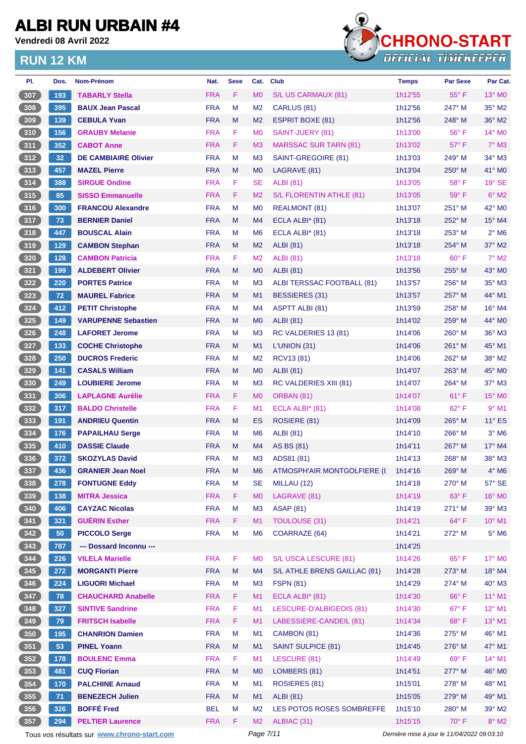**Vendredi 08 Avril 2022**



| PI.   | Dos. | <b>Nom-Prénom</b>                           | Nat.       | <b>Sexe</b> | Cat.           | Club                          | <b>Temps</b>                                | <b>Par Sexe</b> | Par Cat.                   |  |
|-------|------|---------------------------------------------|------------|-------------|----------------|-------------------------------|---------------------------------------------|-----------------|----------------------------|--|
| 307   | 193  | <b>TABARLY Stella</b>                       | <b>FRA</b> | F           | M <sub>0</sub> | S/L US CARMAUX (81)           | 1h12'55                                     | $55^{\circ}$ F  | $13^\circ$ MO              |  |
| 308   | 395  | <b>BAUX Jean Pascal</b>                     | <b>FRA</b> | M           | M <sub>2</sub> | CARLUS (81)                   | 1h12'56                                     | $247^\circ$ M   | 35° M2                     |  |
| 309   | 139  | <b>CEBULA Yvan</b>                          | <b>FRA</b> | M           | M <sub>2</sub> | <b>ESPRIT BOXE (81)</b>       | 1h12'56                                     | $248^\circ$ M   | $36^\circ$ M2              |  |
| 310   | 156  | <b>GRAUBY Melanie</b>                       | <b>FRA</b> | F           | M <sub>0</sub> | SAINT-JUERY (81)              | 1h13'00                                     | $56^{\circ}$ F  | 14° MO                     |  |
| 311   | 352  | <b>CABOT Anne</b>                           | <b>FRA</b> | F.          | M <sub>3</sub> | <b>MARSSAC SUR TARN (81)</b>  | 1h13'02                                     | 57° F           | $7^\circ$ M3               |  |
| 312   | 32   | <b>DE CAMBIAIRE Olivier</b>                 | <b>FRA</b> | M           | M <sub>3</sub> | SAINT-GREGOIRE (81)           | 1h13'03                                     | $249^\circ$ M   | $34^\circ$ M3              |  |
| 313   | 457  | <b>MAZEL Pierre</b>                         | <b>FRA</b> | M           | M <sub>0</sub> | LAGRAVE (81)                  | 1h13'04                                     | $250^\circ$ M   | 41° MO                     |  |
| 314   | 388  | <b>SIRGUE Ondine</b>                        | <b>FRA</b> | F           | <b>SE</b>      | <b>ALBI</b> (81)              | 1h13'05                                     | 58°F            | $19^\circ$ SE              |  |
| 315   | 85   | <b>SISSO Emmanuelle</b>                     | <b>FRA</b> | F           | M <sub>2</sub> | S/L FLORENTIN ATHLE (81)      | 1h13'05                                     | 59°F            | $6^\circ$ M2               |  |
| 316   | 300  | <b>FRANCOU Alexandre</b>                    | <b>FRA</b> | м           | M <sub>0</sub> | <b>REALMONT (81)</b>          | 1h13'07                                     | $251^\circ$ M   | 42° M0                     |  |
| 317   | 73   | <b>BERNIER Daniel</b>                       | <b>FRA</b> | M           | M <sub>4</sub> | ECLA ALBI* (81)               | 1h13'18                                     | 252° M          | 15° M4                     |  |
| 318   | 447  | <b>BOUSCAL Alain</b>                        | <b>FRA</b> | M           | M <sub>6</sub> | ECLA ALBI $*$ (81)            | 1h13'18                                     | $253^\circ$ M   | $2^{\circ}$ M <sub>6</sub> |  |
| (319  | 129  | <b>CAMBON Stephan</b>                       | <b>FRA</b> | M           | M <sub>2</sub> | <b>ALBI</b> (81)              | 1h13'18                                     | $254^\circ$ M   | $37^\circ$ M2              |  |
| $320$ | 128  | <b>CAMBON Patricia</b>                      | <b>FRA</b> | F           | M <sub>2</sub> | <b>ALBI</b> (81)              | 1h13'18                                     | 60° F           | $7^\circ$ M2               |  |
| 321   | 199  | <b>ALDEBERT Olivier</b>                     | <b>FRA</b> | M           | M <sub>0</sub> | <b>ALBI</b> (81)              | 1h13'56                                     | $255^\circ$ M   | 43° MO                     |  |
| 322   | 220  | <b>PORTES Patrice</b>                       | <b>FRA</b> | M           | M <sub>3</sub> | ALBI TERSSAC FOOTBALL (81)    | 1h13'57                                     | 256° M          | 35° M3                     |  |
| 323   | 72   | <b>MAUREL Fabrice</b>                       | <b>FRA</b> | M           | M1             | BESSIERES (31)                | 1h13'57                                     | $257^\circ$ M   | 44° M1                     |  |
| $324$ | 412  | <b>PETIT Christophe</b>                     | <b>FRA</b> | М           | M <sub>4</sub> | <b>ASPTT ALBI (81)</b>        | 1h13'59                                     | $258^\circ$ M   | 16° M4                     |  |
| 325   | 149  | <b>VARUPENNE Sebastien</b>                  | <b>FRA</b> | M           |                | <b>ALBI</b> (81)              | 1h14'02                                     | 259° M          | 44° MO                     |  |
| 326   | 248  |                                             | <b>FRA</b> | м           | M <sub>0</sub> | RC VALDERIES 13 (81)          |                                             | $260^\circ$ M   | 36° M3                     |  |
|       |      | <b>LAFORET Jerome</b>                       |            |             | M <sub>3</sub> |                               | 1h14'06                                     |                 |                            |  |
| 327   | 133  | <b>COCHE Christophe</b>                     | <b>FRA</b> | M           | M1             | L'UNION (31)                  | 1h14'06                                     | $261^\circ$ M   | 45° M1                     |  |
| 328   | 250  | <b>DUCROS Frederic</b>                      | <b>FRA</b> | м           | M <sub>2</sub> | RCV13 (81)                    | 1h14'06                                     | $262^\circ$ M   | 38° M2                     |  |
| 329   | 141  | <b>CASALS William</b>                       | <b>FRA</b> | M           | M <sub>0</sub> | ALBI (81)                     | 1h14'07                                     | $263^\circ$ M   | 45° MO                     |  |
| 330   | 249  | <b>LOUBIERE Jerome</b>                      | <b>FRA</b> | м           | M <sub>3</sub> | <b>RC VALDERIES XIII (81)</b> | 1h14'07                                     | 264° M          | $37^\circ$ M3              |  |
| 331   | 306  | <b>LAPLAGNE Aurélie</b>                     | <b>FRA</b> | F           | M <sub>0</sub> | ORBAN (81)                    | 1h14'07                                     | 61°F            | 15° MO                     |  |
| $332$ | 317  | <b>BALDO Christelle</b>                     | <b>FRA</b> | F           | M1             | ECLA ALBI $*$ (81)            | 1h14'08                                     | $62^{\circ}$ F  | $9°$ M1                    |  |
| 333   | 191  | <b>ANDRIEU Quentin</b>                      | <b>FRA</b> | M           | ES             | ROSIERE (81)                  | 1h14'09                                     | 265° M          | $11^{\circ}$ ES            |  |
| $334$ | 176  | <b>PAPAILHAU Serge</b>                      | <b>FRA</b> | м           | M <sub>6</sub> | <b>ALBI</b> (81)              | 1h14'10                                     | $266^\circ$ M   | $3^\circ$ M <sub>6</sub>   |  |
| 335   | 410  | <b>DASSIE Claude</b>                        | <b>FRA</b> | M           | M4             | AS BS (81)                    | 1h14'11                                     | $267^\circ$ M   | 17° M4                     |  |
| 336   | 372  | <b>SKOZYLAS David</b>                       | <b>FRA</b> | М           | M <sub>3</sub> | ADS81 (81)                    | 1h14'13                                     | 268° M          | 38° M3                     |  |
| 337   | 436  | <b>GRANIER Jean Noel</b>                    | <b>FRA</b> | M           | M <sub>6</sub> | ATMOSPH'AIR MONTGOLFIERE (8   | 1h14'16                                     | 269° M          | $4^\circ$ M <sub>6</sub>   |  |
| 338   | 278  | <b>FONTUGNE Eddy</b>                        | <b>FRA</b> | M           | SE             | MILLAU (12)                   | 1h14'18                                     | 270° M          | 57° SE                     |  |
| 339   | 138  | <b>MITRA Jessica</b>                        | <b>FRA</b> | F           | M <sub>0</sub> | LAGRAVE (81)                  | 1h14'19                                     | 63° F           | 16° M0                     |  |
| $340$ | 406  | <b>CAYZAC Nicolas</b>                       | <b>FRA</b> | M           | M <sub>3</sub> | <b>ASAP (81)</b>              | 1h14'19                                     | 271° M          | 39° M3                     |  |
| 341   | 321  | <b>GUÉRIN Esther</b>                        | <b>FRA</b> | F.          | M1             | <b>TOULOUSE (31)</b>          | 1h14'21                                     | 64°F            | 10° M1                     |  |
| $342$ | 50   | <b>PICCOLO Serge</b>                        | <b>FRA</b> | M           | M <sub>6</sub> | COARRAZE (64)                 | 1h14'21                                     | 272° M          | $5^\circ$ M6               |  |
| 343   | 787  | --- Dossard Inconnu ---                     |            |             |                |                               | 1h14'25                                     |                 |                            |  |
| $344$ | 226  | <b>VILELA Marielle</b>                      | <b>FRA</b> | F           | M <sub>0</sub> | S/L USCA LESCURE (81)         | 1h14'26                                     | 65°F            | 17° M0                     |  |
| 345   | 272  | <b>MORGANTI Pierre</b>                      | <b>FRA</b> | M           | M4             | S/L ATHLE BRENS GAILLAC (81)  | 1h14'28                                     | 273° M          | 18° M4                     |  |
| 346   | 224  | <b>LIGUORI Michael</b>                      | <b>FRA</b> | M           | M <sub>3</sub> | <b>FSPN (81)</b>              | 1h14'29                                     | 274° M          | 40° M3                     |  |
| 347   | 78   | <b>CHAUCHARD Anabelle</b>                   | <b>FRA</b> | F.          | M1             | ECLA ALBI* (81)               | 1h14'30                                     | 66°F            | 11° M1                     |  |
| 348   | 327  | <b>SINTIVE Sandrine</b>                     | <b>FRA</b> | F           | M1             | LESCURE-D'ALBIGEOIS (81)      | 1h14'30                                     | 67°F            | 12° M1                     |  |
| 349   | 79   | <b>FRITSCH Isabelle</b>                     | <b>FRA</b> | F.          | M1             | LABESSIERE-CANDEIL (81)       | 1h14'34                                     | 68°F            | 13° M1                     |  |
| 350   | 195  | <b>CHANRION Damien</b>                      | <b>FRA</b> | M           | M1             | CAMBON (81)                   | 1h14'36                                     | 275° M          | 46° M1                     |  |
| 351   | 53   | <b>PINEL Yoann</b>                          | <b>FRA</b> | M           | M1             | SAINT SULPICE (81)            | 1h14'45                                     | 276° M          | 47° M1                     |  |
| $352$ | 178  | <b>BOULENC Emma</b>                         | <b>FRA</b> | F           | M1             | LESCURE (81)                  | 1h14'49                                     | 69°F            | 14° M1                     |  |
| 353   | 481  | <b>CUQ Florian</b>                          | <b>FRA</b> | M           | M <sub>0</sub> | LOMBERS (81)                  | 1h14'51                                     | 277° M          | 46° M0                     |  |
| 354   | 170  | <b>PALCHINE Arnaud</b>                      | <b>FRA</b> | M           | M1             | ROSIERES (81)                 | 1h15'01                                     | 278° M          | 48° M1                     |  |
| 355   | 71   | <b>BENEZECH Julien</b>                      | <b>FRA</b> | M           | M1             | <b>ALBI</b> (81)              | 1h15'05                                     | 279° M          | 49° M1                     |  |
| 356   | 326  | <b>BOFFÉ Fred</b>                           | <b>BEL</b> | M           | M <sub>2</sub> | LES POTOS ROSES SOMBREFFE     | 1h15'10                                     | 280° M          | 39° M2                     |  |
| 357   | 294  | <b>PELTIER Laurence</b>                     | <b>FRA</b> | F           | M <sub>2</sub> | ALBIAC (31)                   | 1h15'15                                     | 70° F           | $8^\circ$ M2               |  |
|       |      | Tous vos résultats sur www.chrono-start.com | Page 7/11  |             |                |                               | Dernière mise à jour le 11/04/2022 09:03:10 |                 |                            |  |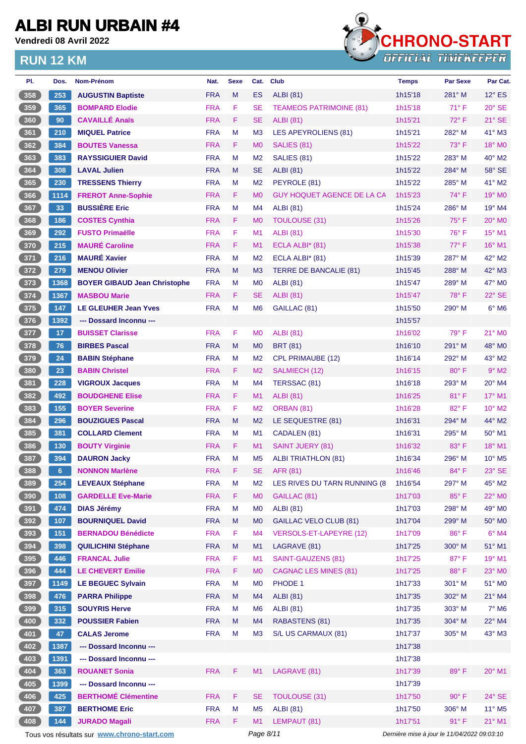**Vendredi 08 Avril 2022**



| PI.             | Dos.            | Nom-Prénom                                  | Nat.       | <b>Sexe</b> | Cat.           | <b>Club</b>                       | <b>Temps</b>                                | <b>Par Sexe</b> | Par Cat.                    |
|-----------------|-----------------|---------------------------------------------|------------|-------------|----------------|-----------------------------------|---------------------------------------------|-----------------|-----------------------------|
| 358             | 253             | <b>AUGUSTIN Baptiste</b>                    | <b>FRA</b> | M           | ES             | <b>ALBI</b> (81)                  | 1h15'18                                     | 281° M          | $12^\circ$ ES               |
| 359             | 365             | <b>BOMPARD Elodie</b>                       | <b>FRA</b> | F           | <b>SE</b>      | <b>TEAMEOS PATRIMOINE (81)</b>    | 1h15'18                                     | $71^{\circ}$ F  | $20^\circ$ SE               |
| 360             | 90              | <b>CAVAILLÉ Anaïs</b>                       | <b>FRA</b> | F           | <b>SE</b>      | <b>ALBI</b> (81)                  | 1h15'21                                     | $72^{\circ}$ F  | $21^\circ$ SE               |
| 361             | 210             | <b>MIQUEL Patrice</b>                       | <b>FRA</b> | M           | M <sub>3</sub> | LES APEYROLIENS (81)              | 1h15'21                                     | 282° M          | 41° M3                      |
| 362             | 384             | <b>BOUTES Vanessa</b>                       | <b>FRA</b> | F.          | M <sub>0</sub> | SALIES (81)                       | 1h15'22                                     | $73^\circ$ F    | 18° MO                      |
| 363             | 383             | <b>RAYSSIGUIER David</b>                    | <b>FRA</b> | M           | M <sub>2</sub> | SALIES (81)                       | 1h15'22                                     | 283° M          | 40° M2                      |
| $\frac{364}{ }$ | 308             | <b>LAVAL Julien</b>                         | <b>FRA</b> | M           | <b>SE</b>      | <b>ALBI</b> (81)                  | 1h15'22                                     | 284° M          | $58^\circ$ SE               |
| 365             | 230             | <b>TRESSENS Thierry</b>                     | <b>FRA</b> | м           | M <sub>2</sub> | PEYROLE (81)                      | 1h15'22                                     | 285° M          | 41° M2                      |
| 366             | 1114            | <b>FREROT Anne-Sophie</b>                   | <b>FRA</b> | F           | M <sub>0</sub> | <b>GUY HOQUET AGENCE DE LA CA</b> | 1h15'23                                     | $74^{\circ}$ F  | 19° MO                      |
| 367             | 33              | <b>BUSSIÈRE Eric</b>                        | <b>FRA</b> | м           | M4             | <b>ALBI</b> (81)                  | 1h15'24                                     | 286° M          | $19^\circ$ M4               |
| 368             | 186             | <b>COSTES Cynthia</b>                       | <b>FRA</b> | F           | M <sub>0</sub> | <b>TOULOUSE (31)</b>              | 1h15'26                                     | $75^{\circ}$ F  | $20^\circ$ MO               |
| 369             | 292             | <b>FUSTO Primaëlle</b>                      | <b>FRA</b> | F           | M1             | <b>ALBI</b> (81)                  | 1h15'30                                     | 76° F           | 15° M1                      |
| 370             | 215             | <b>MAURÉ Caroline</b>                       | <b>FRA</b> | F.          | M1             | ECLA ALBI* (81)                   | 1h15'38                                     | 77° F           | 16° M1                      |
| 371             | 216             | <b>MAURÉ Xavier</b>                         | <b>FRA</b> | м           | M <sub>2</sub> | ECLA ALBI* (81)                   | 1h15'39                                     | 287° M          | 42° M2                      |
| $\frac{372}{ }$ | 279             | <b>MENOU Olivier</b>                        | <b>FRA</b> | M           | M <sub>3</sub> | <b>TERRE DE BANCALIE (81)</b>     | 1h15'45                                     | 288° M          | 42° M3                      |
| 373             | 1368            | <b>BOYER GIBAUD Jean Christophe</b>         | <b>FRA</b> | M           | M <sub>0</sub> | <b>ALBI</b> (81)                  | 1h15'47                                     | 289° M          | $47^\circ$ MO               |
| 374             | 1367            | <b>MASBOU Marie</b>                         | <b>FRA</b> | F.          | <b>SE</b>      | <b>ALBI</b> (81)                  | 1h15'47                                     | $78^\circ$ F    | 22° SE                      |
| 375             | 147             | <b>LE GLEUHER Jean Yves</b>                 | <b>FRA</b> | M           | M <sub>6</sub> | GAILLAC (81)                      | 1h15'50                                     | 290° M          | $6^\circ$ M6                |
| 376             | 1392            | --- Dossard Inconnu ---                     |            |             |                |                                   | 1h15'57                                     |                 |                             |
| 377             | 17 <sub>2</sub> | <b>BUISSET Clarisse</b>                     | <b>FRA</b> | F           | M <sub>0</sub> | <b>ALBI</b> (81)                  | 1h16'02                                     | $79^\circ$ F    | 21° MO                      |
| 378             | 76              | <b>BIRBES Pascal</b>                        | <b>FRA</b> | M           | M <sub>0</sub> | <b>BRT (81)</b>                   | 1h16'10                                     | 291° M          | 48° MO                      |
| 379             | 24              | <b>BABIN Stéphane</b>                       | <b>FRA</b> | м           | M <sub>2</sub> | <b>CPL PRIMAUBE (12)</b>          | 1h16'14                                     | 292° M          | 43° M2                      |
| 380             | 23              | <b>BABIN Christel</b>                       | <b>FRA</b> | F.          | M <sub>2</sub> | SALMIECH (12)                     | 1h16'15                                     | 80° F           | $9°$ M2                     |
| 381             | 228             | <b>VIGROUX Jacques</b>                      | <b>FRA</b> | M           | M <sub>4</sub> | TERSSAC (81)                      | 1h16'18                                     | 293° M          | 20° M4                      |
| 382             | 492             | <b>BOUDGHENE Elise</b>                      | <b>FRA</b> | F.          | M1             | <b>ALBI</b> (81)                  | 1h16'25                                     | $81^\circ$ F    | $17^{\circ}$ M1             |
| 383             | 155             | <b>BOYER Severine</b>                       | <b>FRA</b> | F.          | M <sub>2</sub> | ORBAN (81)                        | 1h16'28                                     | $82^{\circ}$ F  | 10° M2                      |
| 384             | 296             | <b>BOUZIGUES Pascal</b>                     | <b>FRA</b> | M           | M <sub>2</sub> | LE SEQUESTRE (81)                 | 1h16'31                                     | 294° M          | 44° M2                      |
| 385             | 381             | <b>COLLARD Clement</b>                      | <b>FRA</b> | м           | M1             | CADALEN (81)                      | 1h16'31                                     | 295° M          | 50° M1                      |
| 386             | 130             | <b>BOUTY Virginie</b>                       | <b>FRA</b> | F.          | M1             | <b>SAINT JUERY (81)</b>           | 1h16'32                                     | $83^\circ$ F    | $18^{\circ}$ M1             |
| 387             | 394             | <b>DAURON Jacky</b>                         | <b>FRA</b> | М           | M <sub>5</sub> | ALBI TRIATHLON (81)               | 1h16'34                                     | 296° M          | $10^{\circ}$ M <sub>5</sub> |
| 388             | 6               | <b>NONNON Marlène</b>                       | <b>FRA</b> | F.          | SE.            | AFR (81)                          | 1h16'46                                     | $84^{\circ}$ F  | 23° SE                      |
| 389             | 254             | <b>LEVEAUX Stéphane</b>                     | <b>FRA</b> | M           | M <sub>2</sub> | LES RIVES DU TARN RUNNING (8)     | 1h16'54                                     | 297° M          | 45° M2                      |
| 390             | 108             | <b>GARDELLE Eve-Marie</b>                   | <b>FRA</b> | F           | M <sub>0</sub> | GAILLAC (81)                      | 1h17'03                                     | 85°F            | 22° MO                      |
| 391             | 474             | <b>DIAS Jérémy</b>                          | <b>FRA</b> | M           | M <sub>0</sub> | <b>ALBI</b> (81)                  | 1h17'03                                     | 298° M          | 49° M <sub>0</sub>          |
| 392             | 107             | <b>BOURNIQUEL David</b>                     | <b>FRA</b> | M           | M <sub>0</sub> | <b>GAILLAC VELO CLUB (81)</b>     | 1h17'04                                     | 299° M          | 50° MO                      |
| 393             | 151             | <b>BERNADOU Bénédicte</b>                   | <b>FRA</b> | F           | M <sub>4</sub> | VERSOLS-ET-LAPEYRE (12)           | 1h17'09                                     | 86°F            | $6^\circ$ M4                |
| 394             | 398             | <b>QUILICHINI Stéphane</b>                  | <b>FRA</b> | M           | M1             | LAGRAVE (81)                      | 1h17'25                                     | 300° M          | 51° M1                      |
| 395             | 446             | <b>FRANCAL Julie</b>                        | <b>FRA</b> | F           | M1             | SAINT-GAUZENS (81)                | 1h17'25                                     | 87°F            | 19° M1                      |
| 396             | 444             | <b>LE CHEVERT Emilie</b>                    | <b>FRA</b> | F           | M <sub>0</sub> | <b>CAGNAC LES MINES (81)</b>      | 1h17'25                                     | 88°F            | 23° MO                      |
| $397$           | 1149            | <b>LE BEGUEC Sylvain</b>                    | <b>FRA</b> | M           | M <sub>0</sub> | PHODE 1                           | 1h17'33                                     | 301° M          | 51° MO                      |
| 398             | 476             | <b>PARRA Philippe</b>                       | <b>FRA</b> | M           | M4             | <b>ALBI</b> (81)                  | 1h17'35                                     | 302° M          | $21^{\circ}$ M4             |
| 399             | 315             | <b>SOUYRIS Herve</b>                        | <b>FRA</b> | M           | M <sub>6</sub> | <b>ALBI</b> (81)                  | 1h17'35                                     | 303° M          | $7^\circ$ M6                |
| 400             | 332             | <b>POUSSIER Fabien</b>                      | <b>FRA</b> | M           | M4             | <b>RABASTENS (81)</b>             | 1h17'35                                     | 304° M          | 22° M4                      |
| 401             | 47              | <b>CALAS Jerome</b>                         | <b>FRA</b> | M           | M <sub>3</sub> | S/L US CARMAUX (81)               | 1h17'37                                     | 305° M          | 43° M3                      |
| 402             | 1387            | --- Dossard Inconnu ---                     |            |             |                |                                   | 1h17'38                                     |                 |                             |
| 403             | 1391            | --- Dossard Inconnu ---                     |            |             |                |                                   | 1h17'38                                     |                 |                             |
| 404             | 363             | <b>ROUANET Sonia</b>                        | <b>FRA</b> | F           | M1             | LAGRAVE (81)                      | 1h17'39                                     | 89°F            | 20° M1                      |
| 405             | 1399            | --- Dossard Inconnu ---                     |            |             |                |                                   | 1h17'39                                     |                 |                             |
| 406             | 425             | <b>BERTHOMÉ Clémentine</b>                  | <b>FRA</b> | F           | <b>SE</b>      | <b>TOULOUSE (31)</b>              | 1h17'50                                     | $90^\circ$ F    | $24^\circ$ SE               |
| 407             | 387             | <b>BERTHOME Eric</b>                        | <b>FRA</b> | M           | M <sub>5</sub> | <b>ALBI</b> (81)                  | 1h17'50                                     | 306° M          | 11° M5                      |
| 408             | 144             | <b>JURADO Magali</b>                        | <b>FRA</b> | F           | M1             | LEMPAUT (81)                      | 1h17'51                                     | 91° F           | 21° M1                      |
|                 |                 | Tous vos résultats sur www.chrono-start.com |            |             | Page 8/11      |                                   | Dernière mise à jour le 11/04/2022 09:03:10 |                 |                             |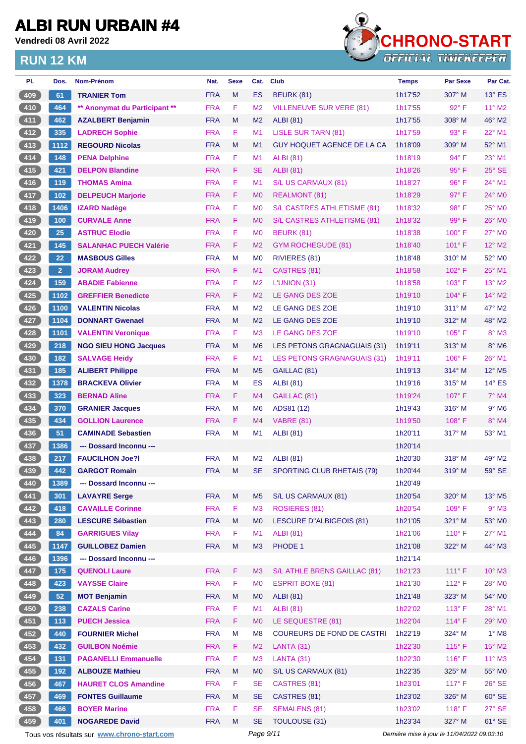**Vendredi 08 Avril 2022**



| PI. | Dos.           | Nom-Prénom                                  | Nat.       | <b>Sexe</b> | Cat.           | <b>Club</b>                        | <b>Temps</b> | <b>Par Sexe</b>                             | Par Cat.        |
|-----|----------------|---------------------------------------------|------------|-------------|----------------|------------------------------------|--------------|---------------------------------------------|-----------------|
| 409 | 61             | <b>TRANIER Tom</b>                          | <b>FRA</b> | M           | <b>ES</b>      | <b>BEURK (81)</b>                  | 1h17'52      | 307° M                                      | $13^\circ$ ES   |
| 410 | 464            | ** Anonymat du Participant **               | <b>FRA</b> | F.          | M <sub>2</sub> | <b>VILLENEUVE SUR VERE (81)</b>    | 1h17'55      | 92° F                                       | $11^{\circ}$ M2 |
| 411 | 462            | <b>AZALBERT Benjamin</b>                    | <b>FRA</b> | M           | M <sub>2</sub> | <b>ALBI</b> (81)                   | 1h17'55      | $308^\circ$ M                               | 46° M2          |
| 412 | 335            | <b>LADRECH Sophie</b>                       | <b>FRA</b> | F.          | M <sub>1</sub> | LISLE SUR TARN (81)                | 1h17'59      | 93° F                                       | 22° M1          |
| 413 | 1112           | <b>REGOURD Nicolas</b>                      | <b>FRA</b> | M           | M <sub>1</sub> | <b>GUY HOQUET AGENCE DE LA CA</b>  | 1h18'09      | $309^\circ$ M                               | 52° M1          |
| 414 | 148            | <b>PENA Delphine</b>                        | <b>FRA</b> | F           | M <sub>1</sub> | <b>ALBI</b> (81)                   | 1h18'19      | 94° F                                       | 23° M1          |
| 415 | 421            | <b>DELPON Blandine</b>                      | <b>FRA</b> | F.          | <b>SE</b>      | <b>ALBI</b> (81)                   | 1h18'26      | $95^{\circ}$ F                              | $25^\circ$ SE   |
| 416 | 119            | <b>THOMAS Amina</b>                         | <b>FRA</b> | F           | M1             | S/L US CARMAUX (81)                | 1h18'27      | 96°F                                        | 24° M1          |
| 417 | $102$          | <b>DELPEUCH Marjorie</b>                    | <b>FRA</b> | F.          | M <sub>0</sub> | <b>REALMONT (81)</b>               | 1h18'29      | $97^\circ$ F                                | $24^\circ$ MO   |
| 418 | 1406           | <b>IZARD Nadège</b>                         | <b>FRA</b> | F           | M <sub>0</sub> | S/L CASTRES ATHLETISME (81)        | 1h18'32      | 98°F                                        | 25° M0          |
| 419 | 100            | <b>CURVALE Anne</b>                         | <b>FRA</b> | F.          | M <sub>0</sub> | S/L CASTRES ATHLETISME (81)        | 1h18'32      | $99^\circ$ F                                | 26° MO          |
| 420 | 25             | <b>ASTRUC Elodie</b>                        | <b>FRA</b> | F           | M <sub>0</sub> | <b>BEURK (81)</b>                  | 1h18'38      | 100° F                                      | 27° M0          |
| 421 | $145$          | <b>SALANHAC PUECH Valérie</b>               | <b>FRA</b> | F           | M <sub>2</sub> | <b>GYM ROCHEGUDE (81)</b>          | 1h18'40      | 101° F                                      | $12^{\circ}$ M2 |
| 422 | 22             | <b>MASBOUS Gilles</b>                       | <b>FRA</b> | M           | M <sub>0</sub> | RIVIERES (81)                      | 1h18'48      | $310^\circ$ M                               | 52° M0          |
| 423 | $\overline{2}$ | <b>JORAM Audrey</b>                         | <b>FRA</b> | F.          | M <sub>1</sub> | CASTRES (81)                       | 1h18'58      | $102^\circ$ F                               | $25^{\circ}$ M1 |
| 424 | 159            | <b>ABADIE Fabienne</b>                      | <b>FRA</b> | F           | M <sub>2</sub> | L'UNION (31)                       | 1h18'58      | 103° F                                      | 13° M2          |
| 425 | 1102           | <b>GREFFIER Benedicte</b>                   | <b>FRA</b> | F.          | M <sub>2</sub> | LE GANG DES ZOE                    | 1h19'10      | $104^\circ$ F                               | 14° M2          |
| 426 | 1100           | <b>VALENTIN Nicolas</b>                     | <b>FRA</b> | M           | M <sub>2</sub> | LE GANG DES ZOE                    | 1h19'10      | 311° M                                      | 47° M2          |
| 427 | 1104           | <b>DONNART Gwenael</b>                      | <b>FRA</b> | M           | M <sub>2</sub> | LE GANG DES ZOE                    | 1h19'10      | $312^\circ$ M                               | 48° M2          |
| 428 | 1101           | <b>VALENTIN Veronique</b>                   | <b>FRA</b> | F           | M <sub>3</sub> | LE GANG DES ZOE                    | 1h19'10      | $105^\circ$ F                               | $8^\circ$ M3    |
| 429 | 218            | <b>NGO SIEU HONG Jacques</b>                | <b>FRA</b> | M           | M <sub>6</sub> | LES PETONS GRAGNAGUAIS (31)        | 1h19'11      | $313^\circ$ M                               | $8^\circ$ M6    |
| 430 | 182            | <b>SALVAGE Heidy</b>                        | <b>FRA</b> | F           | M <sub>1</sub> | <b>LES PETONS GRAGNAGUAIS (31)</b> | 1h19'11      | $106^\circ$ F                               | $26^{\circ}$ M1 |
| 431 | 185            | <b>ALIBERT Philippe</b>                     | <b>FRA</b> | M           | M <sub>5</sub> | GAILLAC (81)                       | 1h19'13      | 314° M                                      | 12° M5          |
| 432 | 1378           | <b>BRACKEVA Olivier</b>                     | <b>FRA</b> | M           | ES             | <b>ALBI</b> (81)                   | 1h19'16      | $315^\circ$ M                               | $14^{\circ}$ ES |
| 433 | 323            | <b>BERNAD Aline</b>                         | <b>FRA</b> | F           | M4             | GAILLAC (81)                       | 1h19'24      | $107^\circ$ F                               | $7^\circ$ M4    |
| 434 | 370            | <b>GRANIER Jacques</b>                      | <b>FRA</b> | M           | M <sub>6</sub> | ADS81 (12)                         | 1h19'43      | $316^\circ$ M                               | $9°$ M6         |
| 435 | 434            | <b>GOLLION Laurence</b>                     | <b>FRA</b> | F.          | M <sub>4</sub> | <b>VABRE (81)</b>                  | 1h19'50      | $108^\circ$ F                               | 8° M4           |
| 436 | 51             | <b>CAMINADE Sebastien</b>                   | <b>FRA</b> | M           | M1             | <b>ALBI</b> (81)                   | 1h20'11      | 317° M                                      | 53° M1          |
| 437 | 1386           | --- Dossard Inconnu ---                     |            |             |                |                                    | 1h20'14      |                                             |                 |
| 438 | 217            | <b>FAUCILHON Joe?I</b>                      | <b>FRA</b> | M           | M <sub>2</sub> | <b>ALBI</b> (81)                   | 1h20'30      | $318^\circ$ M                               | 49° M2          |
| 439 | 442            | <b>GARGOT Romain</b>                        | <b>FRA</b> | M           | SE             | SPORTING CLUB RHETAIS (79)         | 1h20'44      | $319^\circ$ M                               | $59^\circ$ SE   |
| 440 | 1389           | --- Dossard Inconnu ---                     |            |             |                |                                    | 1h20'49      |                                             |                 |
| 441 | 301            | <b>LAVAYRE Serge</b>                        | <b>FRA</b> | M           | M <sub>5</sub> | S/L US CARMAUX (81)                | 1h20'54      | 320° M                                      | 13° M5          |
| 442 | 418            | <b>CAVAILLE Corinne</b>                     | <b>FRA</b> | F           | M <sub>3</sub> | ROSIERES (81)                      | 1h20'54      | 109°F                                       | $9°$ M3         |
| 443 | 280            | <b>LESCURE Sébastien</b>                    | <b>FRA</b> | M           | M <sub>0</sub> | <b>LESCURE D"ALBIGEOIS (81)</b>    | 1h21'05      | 321° M                                      | 53° MO          |
| 444 | 84             | <b>GARRIGUES Vilav</b>                      | <b>FRA</b> | F           | M1             | <b>ALBI (81)</b>                   | 1h21'06      | $110^{\circ}$ F                             | 27° M1          |
| 445 | 1147           | <b>GUILLOBEZ Damien</b>                     | <b>FRA</b> | M           | M <sub>3</sub> | PHODE 1                            | 1h21'08      | 322° M                                      | 44° M3          |
| 446 | 1396           | --- Dossard Inconnu ---                     |            |             |                |                                    | 1h21'14      |                                             |                 |
| 447 | 175            | <b>QUENOLI Laure</b>                        | <b>FRA</b> | F           | M <sub>3</sub> | S/L ATHLE BRENS GAILLAC (81)       | 1h21'23      | $111^\circ F$                               | $10^{\circ}$ M3 |
| 448 | 423            | <b>VAYSSE Claire</b>                        | <b>FRA</b> | F           | M <sub>0</sub> | <b>ESPRIT BOXE (81)</b>            | 1h21'30      | 112°F                                       | 28° MO          |
| 449 | 52             | <b>MOT Benjamin</b>                         | <b>FRA</b> | M           | M <sub>0</sub> | <b>ALBI</b> (81)                   | 1h21'48      | 323° M                                      | 54° MO          |
| 450 | 238            | <b>CAZALS Carine</b>                        | <b>FRA</b> | F           | M <sub>1</sub> | <b>ALBI</b> (81)                   | 1h22'02      | $113^\circ$ F                               | 28° M1          |
| 451 | $113$          | <b>PUECH Jessica</b>                        | <b>FRA</b> | F           | M <sub>0</sub> | LE SEQUESTRE (81)                  | 1h22'04      | 114°F                                       | 29° M0          |
| 452 | 440            | <b>FOURNIER Michel</b>                      | <b>FRA</b> | M           | M <sub>8</sub> | <b>COUREURS DE FOND DE CASTRI</b>  | 1h22'19      | 324° M                                      | $1^\circ$ M8    |
| 453 | 432            | <b>GUILBON Noémie</b>                       | <b>FRA</b> | F.          | M <sub>2</sub> | LANTA (31)                         | 1h22'30      | $115^\circ$ F                               | 15° M2          |
| 454 | 131            | <b>PAGANELLI Emmanuelle</b>                 | <b>FRA</b> | $\mathsf F$ | M <sub>3</sub> | LANTA(31)                          | 1h22'30      | 116° F                                      | $11^{\circ}$ M3 |
| 455 | 192            | <b>ALBOUZE Mathieu</b>                      | <b>FRA</b> | M           | M <sub>0</sub> | S/L US CARMAUX (81)                | 1h22'35      | 325° M                                      | 55° MO          |
| 456 | 467            | <b>HAURET CLOS Amandine</b>                 | <b>FRA</b> | F           | <b>SE</b>      | CASTRES (81)                       | 1h23'01      | $117^\circ$ F                               | $26^\circ$ SE   |
| 457 | 469            | <b>FONTES Guillaume</b>                     | <b>FRA</b> | M           | <b>SE</b>      | CASTRES (81)                       | 1h23'02      | 326° M                                      | $60^\circ$ SE   |
| 458 | 466            | <b>BOYER Marine</b>                         | <b>FRA</b> | F           | <b>SE</b>      | <b>SEMALENS (81)</b>               | 1h23'02      | 118° F                                      | $27^\circ$ SE   |
| 459 | 401            | <b>NOGAREDE David</b>                       | <b>FRA</b> | M           | <b>SE</b>      | TOULOUSE (31)                      | 1h23'34      | 327° M                                      | $61^\circ$ SE   |
|     |                | Tous vos résultats sur www.chrono-start.com |            |             | Page 9/11      |                                    |              | Dernière mise à jour le 11/04/2022 09:03:10 |                 |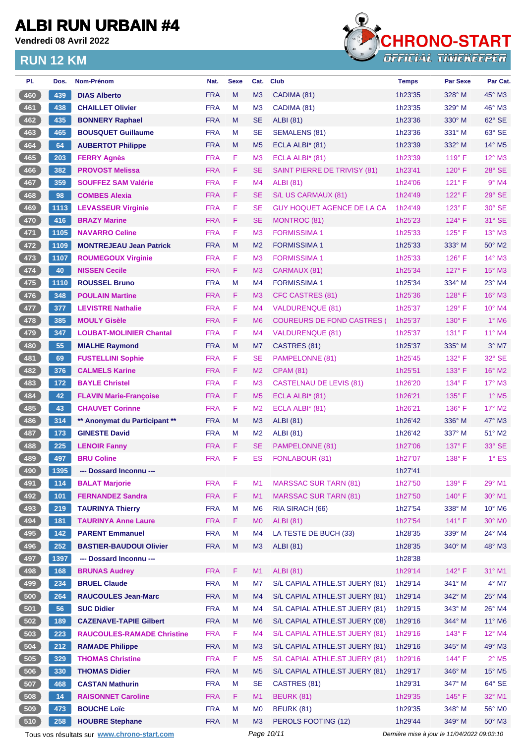**Vendredi 08 Avril 2022**



| PI.   | Dos. | Nom-Prénom                                  | Nat.       | <b>Sexe</b> | Cat.           | <b>Club</b>                       | <b>Temps</b> | <b>Par Sexe</b>                             | Par Cat.                    |
|-------|------|---------------------------------------------|------------|-------------|----------------|-----------------------------------|--------------|---------------------------------------------|-----------------------------|
| 460   | 439  | <b>DIAS Alberto</b>                         | <b>FRA</b> | M           | M <sub>3</sub> | CADIMA (81)                       | 1h23'35      | 328° M                                      | 45° M3                      |
| 461   | 438  | <b>CHAILLET Olivier</b>                     | <b>FRA</b> | M           | M <sub>3</sub> | CADIMA (81)                       | 1h23'35      | 329° M                                      | 46° M3                      |
| 462   | 435  | <b>BONNERY Raphael</b>                      | <b>FRA</b> | M           | <b>SE</b>      | <b>ALBI</b> (81)                  | 1h23'36      | $330^\circ$ M                               | 62° SE                      |
| 463   | 465  | <b>BOUSQUET Guillaume</b>                   | <b>FRA</b> | M           | <b>SE</b>      | <b>SEMALENS (81)</b>              | 1h23'36      | $331^\circ$ M                               | 63° SE                      |
| 464   | 64   | <b>AUBERTOT Philippe</b>                    | <b>FRA</b> | M           | M <sub>5</sub> | ECLA ALBI $*$ (81)                | 1h23'39      | 332° M                                      | $14^{\circ}$ M <sub>5</sub> |
| 465   | 203  | <b>FERRY Agnès</b>                          | <b>FRA</b> | F           | M <sub>3</sub> | ECLA ALBI* (81)                   | 1h23'39      | $119^\circ$ F                               | $12^{\circ}$ M3             |
| 466   | 382  | <b>PROVOST Melissa</b>                      | <b>FRA</b> | F           | <b>SE</b>      | SAINT PIERRE DE TRIVISY (81)      | 1h23'41      | $120^\circ$ F                               | $28^\circ$ SE               |
| 467   | 359  | <b>SOUFFEZ SAM Valérie</b>                  | <b>FRA</b> | F           | M <sub>4</sub> | ALBI (81)                         | 1h24'06      | 121° F                                      | $9°$ M4                     |
| 468   | 98   | <b>COMBES Alexia</b>                        | <b>FRA</b> | F           | SE             | S/L US CARMAUX (81)               | 1h24'49      | $122^{\circ}$ F                             | $29°$ SE                    |
| 469   | 1113 | <b>LEVASSEUR Virginie</b>                   | <b>FRA</b> | F           | <b>SE</b>      | <b>GUY HOQUET AGENCE DE LA CA</b> | 1h24'49      | 123° F                                      | 30° SE                      |
| 470   | 416  | <b>BRAZY Marine</b>                         | <b>FRA</b> | F           | <b>SE</b>      | <b>MONTROC (81)</b>               | 1h25'23      | $124^\circ$ F                               | 31° SE                      |
| 471   | 1105 | <b>NAVARRO Celine</b>                       | <b>FRA</b> | F           | M <sub>3</sub> | <b>FORMISSIMA1</b>                | 1h25'33      | $125^\circ$ F                               | $13^{\circ}$ M3             |
| 472   | 1109 | <b>MONTREJEAU Jean Patrick</b>              | <b>FRA</b> | M           | M <sub>2</sub> | <b>FORMISSIMA1</b>                | 1h25'33      | $333^\circ$ M                               | 50° M2                      |
| 473   | 1107 | <b>ROUMEGOUX Virginie</b>                   | <b>FRA</b> | F           | M <sub>3</sub> | <b>FORMISSIMA 1</b>               | 1h25'33      | $126^\circ$ F                               | $14^{\circ}$ M3             |
| 474   | 40   | <b>NISSEN Cecile</b>                        | <b>FRA</b> | F           | M <sub>3</sub> | CARMAUX (81)                      | 1h25'34      | $127^\circ$ F                               | $15^{\circ}$ M3             |
| 475   | 1110 | <b>ROUSSEL Bruno</b>                        | <b>FRA</b> | M           | M <sub>4</sub> | <b>FORMISSIMA1</b>                | 1h25'34      | 334° M                                      | $23^\circ$ M4               |
| 476   | 348  | <b>POULAIN Martine</b>                      | <b>FRA</b> | F           | M <sub>3</sub> | <b>CFC CASTRES (81)</b>           | 1h25'36      | $128^\circ$ F                               | 16° M3                      |
| 477   | 377  | <b>LEVISTRE Nathalie</b>                    | <b>FRA</b> | F           | M <sub>4</sub> | <b>VALDURENQUE (81)</b>           | 1h25'37      | $129^\circ$ F                               | $10^{\circ}$ M4             |
| 478   | 385  | <b>MOULY Gisèle</b>                         | <b>FRA</b> | F           | M <sub>6</sub> | <b>COUREURS DE FOND CASTRES</b>   | 1h25'37      | 130° F                                      | $1^\circ$ M6                |
| 479   | 347  | <b>LOUBAT-MOLINIER Chantal</b>              | <b>FRA</b> | F           | M4             | VALDURENQUE (81)                  | 1h25'37      | $131^\circ$ F                               | 11° M4                      |
| 480   | 55   | <b>MIALHE Raymond</b>                       | <b>FRA</b> | M           | M7             | CASTRES (81)                      | 1h25'37      | 335° M                                      | $3°$ M7                     |
| 481   | 69   | <b>FUSTELLINI Sophie</b>                    | <b>FRA</b> | F           | <b>SE</b>      | PAMPELONNE (81)                   | 1h25'45      | $132^\circ$ F                               | 32° SE                      |
| 482   | 376  | <b>CALMELS Karine</b>                       | <b>FRA</b> | F           | M <sub>2</sub> | <b>CPAM (81)</b>                  | 1h25'51      | $133^\circ$ F                               | 16° M2                      |
| 483   | 172  | <b>BAYLE Christel</b>                       | <b>FRA</b> | F           | M <sub>3</sub> | <b>CASTELNAU DE LEVIS (81)</b>    | 1h26'20      | $134^\circ$ F                               | $17^\circ$ M3               |
| 484   | 42   | <b>FLAVIN Marie-Françoise</b>               | <b>FRA</b> | F.          | M <sub>5</sub> | ECLA ALBI* (81)                   | 1h26'21      | $135^\circ$ F                               | $1^\circ$ M <sub>5</sub>    |
| 485   | 43   | <b>CHAUVET Corinne</b>                      | <b>FRA</b> | F           | M <sub>2</sub> | ECLA ALBI* (81)                   | 1h26'21      | $136^\circ$ F                               | $17^\circ$ M2               |
| 486   | 314  | ** Anonymat du Participant **               | <b>FRA</b> | M           | M <sub>3</sub> | <b>ALBI</b> (81)                  | 1h26'42      | $336^\circ$ M                               | $47^\circ$ M3               |
| 487   | 173  | <b>GINESTE David</b>                        | <b>FRA</b> | M           | M <sub>2</sub> | <b>ALBI</b> (81)                  | 1h26'42      | $337^\circ$ M                               | 51° M2                      |
| 488   | 225  | <b>LENOIR Fanny</b>                         | <b>FRA</b> | F.          | <b>SE</b>      | PAMPELONNE (81)                   | 1h27'06      | $137^\circ$ F                               | 33° SE                      |
| 489   | 497  | <b>BRU Coline</b>                           | <b>FRA</b> | F           | ES             | FONLABOUR (81)                    | 1h27'07      | $138^\circ$ F                               | $1^\circ$ ES                |
| 490   | 1395 | --- Dossard Inconnu ---                     |            |             |                |                                   | 1h27'41      |                                             |                             |
| 491   | 114  | <b>BALAT Marjorie</b>                       | <b>FRA</b> | F           | M1             | <b>MARSSAC SUR TARN (81)</b>      | 1h27'50      | 139° F                                      | 29° M1                      |
| $492$ | 101  | <b>FERNANDEZ Sandra</b>                     | <b>FRA</b> | F           | M1             | <b>MARSSAC SUR TARN (81)</b>      | 1h27'50      | 140°F                                       | 30° M1                      |
| 493   | 219  | <b>TAURINYA Thierry</b>                     | <b>FRA</b> | M           | M <sub>6</sub> | RIA SIRACH (66)                   | 1h27'54      | 338° M                                      | 10° M6                      |
| 494   | 181  | <b>TAURINYA Anne Laure</b>                  | <b>FRA</b> | F.          | M <sub>0</sub> | <b>ALBI</b> (81)                  | 1h27'54      | $141^\circ$ F                               | 30° MO                      |
| 495   | 142  | <b>PARENT Emmanuel</b>                      | <b>FRA</b> | M           | M4             | LA TESTE DE BUCH (33)             | 1h28'35      | 339° M                                      | 24° M4                      |
| 496   | 252  | <b>BASTIER-BAUDOUI Olivier</b>              | <b>FRA</b> | M           | M3             | <b>ALBI</b> (81)                  | 1h28'35      | 340° M                                      | 48° M3                      |
| 497   | 1397 | --- Dossard Inconnu ---                     |            |             |                |                                   | 1h28'38      |                                             |                             |
| 498   | 168  | <b>BRUNAS Audrey</b>                        | <b>FRA</b> | F           | M1             | <b>ALBI</b> (81)                  | 1h29'14      | $142^{\circ}$ F                             | 31° M1                      |
| 499   | 234  | <b>BRUEL Claude</b>                         | <b>FRA</b> | M           | M7             | S/L CAPIAL ATHLE.ST JUERY (81)    | 1h29'14      | 341° M                                      | $4^\circ$ M7                |
| 500   | 264  | <b>RAUCOULES Jean-Marc</b>                  | <b>FRA</b> | M           | M4             | S/L CAPIAL ATHLE.ST JUERY (81)    | 1h29'14      | 342° M                                      | 25° M4                      |
| 501   | 56   | <b>SUC Didier</b>                           | <b>FRA</b> | M           | M4             | S/L CAPIAL ATHLE.ST JUERY (81)    | 1h29'15      | 343° M                                      | 26° M4                      |
| 502   | 189  | <b>CAZENAVE-TAPIE Gilbert</b>               | <b>FRA</b> | M           | M <sub>6</sub> | S/L CAPIAL ATHLE.ST JUERY (08)    | 1h29'16      | 344° M                                      | 11° M6                      |
| 503   | 223  | <b>RAUCOULES-RAMADE Christine</b>           | <b>FRA</b> | F           | M4             | S/L CAPIAL ATHLE.ST JUERY (81)    | 1h29'16      | $143^\circ$ F                               | 12° M4                      |
| 504   | 212  | <b>RAMADE Philippe</b>                      | <b>FRA</b> | ${\sf M}$   | M <sub>3</sub> | S/L CAPIAL ATHLE.ST JUERY (81)    | 1h29'16      | 345° M                                      | 49° M3                      |
| 505   | 329  | <b>THOMAS Christine</b>                     | <b>FRA</b> | F           | M <sub>5</sub> | S/L CAPIAL ATHLE.ST JUERY (81)    | 1h29'16      | 144°F                                       | $2^{\circ}$ M <sub>5</sub>  |
| 506   | 330  | <b>THOMAS Didier</b>                        | <b>FRA</b> | M           | M <sub>5</sub> | S/L CAPIAL ATHLE.ST JUERY (81)    | 1h29'17      | 346° M                                      | 15° M5                      |
| 507   | 468  | <b>CASTAN Mathurin</b>                      | <b>FRA</b> | M           | <b>SE</b>      | CASTRES (81)                      | 1h29'31      | 347° M                                      | 64° SE                      |
| 508   | 14   | <b>RAISONNET Caroline</b>                   | <b>FRA</b> | F.          | M1             | <b>BEURK (81)</b>                 | 1h29'35      | $145^\circ$ F                               | 32° M1                      |
| 509   | 473  | <b>BOUCHE Loïc</b>                          | <b>FRA</b> | M           | M0             | <b>BEURK (81)</b>                 | 1h29'35      | 348° M                                      | 56° M0                      |
| 510   | 258  | <b>HOUBRE Stephane</b>                      | <b>FRA</b> | M           | M <sub>3</sub> | PEROLS FOOTING (12)               | 1h29'44      | 349° M                                      | $50^\circ$ M3               |
|       |      | Tous vos résultats sur www.chrono-start.com |            |             | Page 10/11     |                                   |              | Dernière mise à jour le 11/04/2022 09:03:10 |                             |